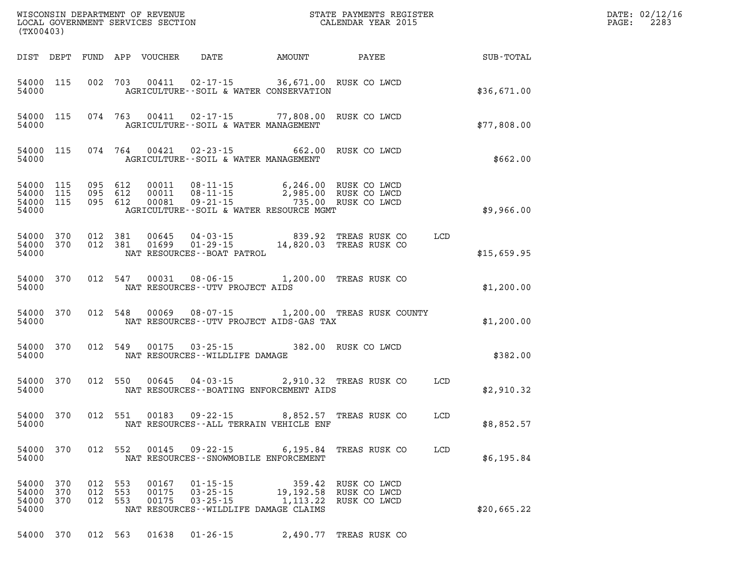| (TX00403)                        |                   |                   |                   | WISCONSIN DEPARTMENT OF REVENUE<br>LOCAL GOVERNMENT SERVICES SECTION |                                                                                             |                                                                           | STATE PAYMENTS REGISTER<br>CALENDAR YEAR 2015 |     |             |  |
|----------------------------------|-------------------|-------------------|-------------------|----------------------------------------------------------------------|---------------------------------------------------------------------------------------------|---------------------------------------------------------------------------|-----------------------------------------------|-----|-------------|--|
| DIST                             | DEPT              | FUND              | APP               | VOUCHER                                                              | DATE                                                                                        | AMOUNT                                                                    | PAYEE                                         |     | SUB-TOTAL   |  |
| 54000<br>54000                   | 115               | 002               | 703               | 00411                                                                | $02 - 17 - 15$                                                                              | 36,671.00 RUSK CO LWCD<br>AGRICULTURE--SOIL & WATER CONSERVATION          |                                               |     | \$36,671.00 |  |
| 54000<br>54000                   | 115               | 074               | 763               | 00411                                                                | AGRICULTURE -- SOIL & WATER MANAGEMENT                                                      | $02 - 17 - 15$ 77,808.00                                                  | RUSK CO LWCD                                  |     | \$77,808.00 |  |
| 54000<br>54000                   | 115               | 074               | 764               | 00421                                                                | $02 - 23 - 15$<br>AGRICULTURE--SOIL & WATER MANAGEMENT                                      | 662.00                                                                    | RUSK CO LWCD                                  |     | \$662.00    |  |
| 54000<br>54000<br>54000<br>54000 | 115<br>115<br>115 | 095<br>095<br>095 | 612<br>612<br>612 | 00011<br>00011<br>00081                                              | $08 - 11 - 15$<br>$08 - 11 - 15$<br>$09 - 21 - 15$                                          | 6,246.00<br>2,985.00<br>735.00<br>AGRICULTURE--SOIL & WATER RESOURCE MGMT | RUSK CO LWCD<br>RUSK CO LWCD<br>RUSK CO LWCD  |     | \$9,966.00  |  |
| 54000<br>54000<br>54000          | 370<br>370        | 012<br>012        | 381<br>381        | 00645<br>01699                                                       | $04 - 03 - 15$<br>$01 - 29 - 15$<br>NAT RESOURCES - - BOAT PATROL                           | 839.92<br>14,820.03                                                       | TREAS RUSK CO<br>TREAS RUSK CO                | LCD | \$15,659.95 |  |
| 54000<br>54000                   | 370               | 012               | 547               | 00031                                                                | $08 - 06 - 15$<br>NAT RESOURCES - - UTV PROJECT AIDS                                        | 1,200.00                                                                  | TREAS RUSK CO                                 |     | \$1,200.00  |  |
| 54000<br>54000                   | 370               | 012               | 548               | 00069                                                                | $08 - 07 - 15$                                                                              | NAT RESOURCES--UTV PROJECT AIDS-GAS TAX                                   | 1,200.00 TREAS RUSK COUNTY                    |     | \$1,200.00  |  |
| 54000<br>54000                   | 370               | 012               | 549               | 00175                                                                | $03 - 25 - 15$<br>NAT RESOURCES - - WILDLIFE DAMAGE                                         |                                                                           | 382.00 RUSK CO LWCD                           |     | \$382.00    |  |
| 54000<br>54000                   | 370               | 012               | 550               | 00645                                                                | $04 - 03 - 15$                                                                              | NAT RESOURCES - - BOATING ENFORCEMENT AIDS                                | 2,910.32 TREAS RUSK CO                        | LCD | \$2,910.32  |  |
| 54000<br>54000                   | 370               | 012               | 551               | 00183                                                                | $09 - 22 - 15$                                                                              | 8,852.57<br>NAT RESOURCES--ALL TERRAIN VEHICLE ENF                        | TREAS RUSK CO                                 | LCD | \$8,852.57  |  |
| 54000<br>54000                   | 370               | 012               | 552               | 00145                                                                | 09 - 22 - 15<br>NAT RESOURCES--SNOWMOBILE ENFORCEMENT                                       | 6,195.84                                                                  | TREAS RUSK CO                                 | LCD | \$6,195.84  |  |
| 54000<br>54000<br>54000<br>54000 | 370<br>370<br>370 | 012<br>012<br>012 | 553<br>553<br>553 | 00167<br>00175<br>00175                                              | $01 - 15 - 15$<br>$03 - 25 - 15$<br>$03 - 25 - 15$<br>NAT RESOURCES--WILDLIFE DAMAGE CLAIMS | 359.42<br>19,192.58<br>1, 113.22                                          | RUSK CO LWCD<br>RUSK CO LWCD<br>RUSK CO LWCD  |     | \$20,665.22 |  |
| 54000                            | 370               | 012 563           |                   | 01638                                                                | $01 - 26 - 15$                                                                              | 2,490.77                                                                  | TREAS RUSK CO                                 |     |             |  |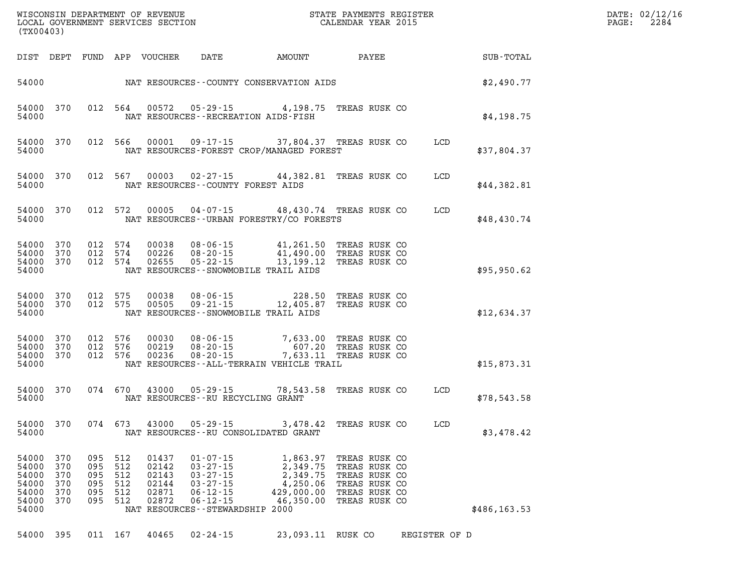| (TX00403)                                                   |                                        |                                        |                                        | WISCONSIN DEPARTMENT OF REVENUE<br>LOCAL GOVERNMENT SERVICES SECTION |                                                                                                                                                |                                                                                 | STATE PAYMENTS REGISTER<br>CALENDAR YEAR 2015                                                      |               |              | DATE: 02/12/16<br>PAGE: | 2284 |
|-------------------------------------------------------------|----------------------------------------|----------------------------------------|----------------------------------------|----------------------------------------------------------------------|------------------------------------------------------------------------------------------------------------------------------------------------|---------------------------------------------------------------------------------|----------------------------------------------------------------------------------------------------|---------------|--------------|-------------------------|------|
| DIST DEPT                                                   |                                        | FUND                                   |                                        | APP VOUCHER                                                          | DATE                                                                                                                                           | AMOUNT                                                                          | PAYEE                                                                                              |               | SUB-TOTAL    |                         |      |
| 54000                                                       |                                        |                                        |                                        |                                                                      |                                                                                                                                                | NAT RESOURCES--COUNTY CONSERVATION AIDS                                         |                                                                                                    |               | \$2,490.77   |                         |      |
| 54000 370<br>54000                                          |                                        |                                        | 012 564                                | 00572                                                                | 05 - 29 - 15                                                                                                                                   | 4,198.75<br>NAT RESOURCES - - RECREATION AIDS - FISH                            | TREAS RUSK CO                                                                                      |               | \$4,198.75   |                         |      |
| 54000<br>54000                                              | 370                                    |                                        | 012 566                                | 00001                                                                | $09 - 17 - 15$                                                                                                                                 | 37,804.37 TREAS RUSK CO<br>NAT RESOURCES-FOREST CROP/MANAGED FOREST             |                                                                                                    | LCD           | \$37,804.37  |                         |      |
| 54000<br>54000                                              | 370                                    |                                        | 012 567                                | 00003                                                                | $02 - 27 - 15$                                                                                                                                 | 44,382.81<br>NAT RESOURCES - COUNTY FOREST AIDS                                 | TREAS RUSK CO                                                                                      | LCD           | \$44,382.81  |                         |      |
| 54000 370<br>54000                                          |                                        |                                        | 012 572                                | 00005                                                                | $04 - 07 - 15$                                                                                                                                 | 48,430.74 TREAS RUSK CO<br>NAT RESOURCES - - URBAN FORESTRY/CO FORESTS          |                                                                                                    | LCD           | \$48,430.74  |                         |      |
| 54000<br>54000<br>54000<br>54000                            | 370<br>370<br>370                      | 012 574<br>012<br>012                  | 574<br>574                             | 00038<br>00226<br>02655                                              | $08 - 06 - 15$<br>$08 - 20 - 15$<br>$05 - 22 - 15$                                                                                             | 41,261.50<br>41,490.00<br>13,199.12<br>NAT RESOURCES - - SNOWMOBILE TRAIL AIDS  | TREAS RUSK CO<br>TREAS RUSK CO<br>TREAS RUSK CO                                                    |               | \$95,950.62  |                         |      |
| 54000<br>54000<br>54000                                     | 370<br>370                             | 012<br>012                             | 575<br>575                             | 00038<br>00505                                                       | $08 - 06 - 15$<br>$09 - 21 - 15$                                                                                                               | 228.50<br>12,405.87<br>NAT RESOURCES - - SNOWMOBILE TRAIL AIDS                  | TREAS RUSK CO<br>TREAS RUSK CO                                                                     |               | \$12,634.37  |                         |      |
| 54000<br>54000<br>54000<br>54000                            | 370<br>370<br>370                      | 012 576<br>012<br>012                  | 576<br>576                             | 00030<br>00219<br>00236                                              | $08 - 06 - 15$<br>$08 - 20 - 15$<br>$08 - 20 - 15$                                                                                             | 7,633.00<br>607.20<br>7,633.11<br>NAT RESOURCES - - ALL - TERRAIN VEHICLE TRAIL | TREAS RUSK CO<br>TREAS RUSK CO<br>TREAS RUSK CO                                                    |               | \$15,873.31  |                         |      |
| 54000<br>54000                                              | 370                                    |                                        | 074 670                                | 43000                                                                | $05 - 29 - 15$                                                                                                                                 | 78,543.58<br>NAT RESOURCES - - RU RECYCLING GRANT                               | TREAS RUSK CO                                                                                      | LCD           | \$78,543.58  |                         |      |
| 54000<br>54000                                              | 370                                    |                                        | 074 673                                | 43000                                                                | $05 - 29 - 15$                                                                                                                                 | 3,478.42<br>NAT RESOURCES - - RU CONSOLIDATED GRANT                             | TREAS RUSK CO                                                                                      | LCD           | \$3,478.42   |                         |      |
| 54000<br>54000<br>54000<br>54000<br>54000<br>54000<br>54000 | 370<br>370<br>370<br>370<br>370<br>370 | 095<br>095<br>095<br>095<br>095<br>095 | 512<br>512<br>512<br>512<br>512<br>512 | 01437<br>02142<br>02143<br>02144<br>02871<br>02872                   | $01 - 07 - 15$<br>$03 - 27 - 15$<br>$03 - 27 - 15$<br>$03 - 27 - 15$<br>$06 - 12 - 15$<br>$06 - 12 - 15$<br>NAT RESOURCES - - STEWARDSHIP 2000 | 1,863.97<br>2,349.75<br>2,349.75<br>4,250.06<br>429,000.00<br>46,350.00         | TREAS RUSK CO<br>TREAS RUSK CO<br>TREAS RUSK CO<br>TREAS RUSK CO<br>TREAS RUSK CO<br>TREAS RUSK CO |               | \$486,163.53 |                         |      |
| 54000 395                                                   |                                        |                                        | 011 167                                | 40465                                                                | $02 - 24 - 15$                                                                                                                                 | 23,093.11 RUSK CO                                                               |                                                                                                    | REGISTER OF D |              |                         |      |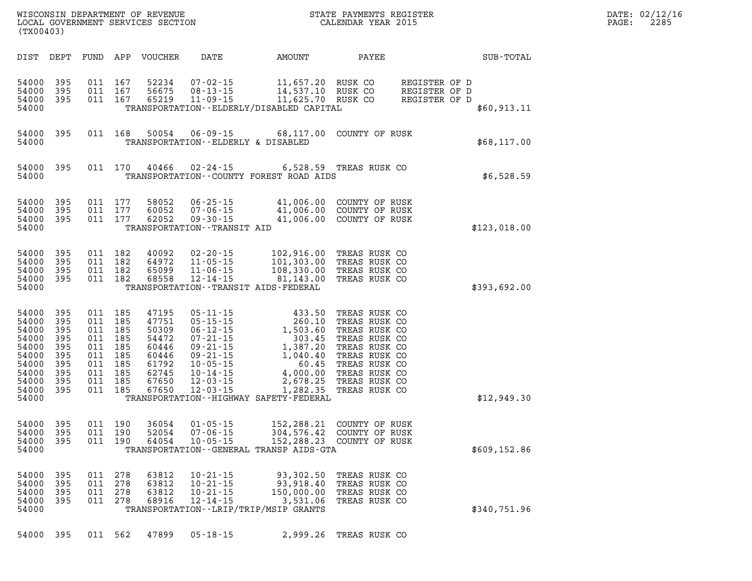| DATE: | 02/12/16 |
|-------|----------|
| PAGE: | 2285     |

| (TX00403)                                                                              |                                                                          |                          |                                                                                            | LOCAL GOVERNMENT SERVICES SECTION                                                      |                                                                                      | CALENDAR YEAR 2015                                                                                                                                                                                                                                                                                                                                                   | PAGE:                                                                            | 2285                                            |              |  |  |
|----------------------------------------------------------------------------------------|--------------------------------------------------------------------------|--------------------------|--------------------------------------------------------------------------------------------|----------------------------------------------------------------------------------------|--------------------------------------------------------------------------------------|----------------------------------------------------------------------------------------------------------------------------------------------------------------------------------------------------------------------------------------------------------------------------------------------------------------------------------------------------------------------|----------------------------------------------------------------------------------|-------------------------------------------------|--------------|--|--|
|                                                                                        | DIST DEPT                                                                |                          |                                                                                            | FUND APP VOUCHER                                                                       | DATE                                                                                 | AMOUNT                                                                                                                                                                                                                                                                                                                                                               | PAYEE                                                                            |                                                 | SUB-TOTAL    |  |  |
| 54000<br>54000<br>54000<br>54000                                                       | 395<br>395<br>395                                                        | 011                      | 167<br>011 167<br>011 167                                                                  | 52234<br>56675<br>65219                                                                | $11 - 09 - 15$                                                                       | 11,625.70 RUSK CO<br>TRANSPORTATION - - ELDERLY/DISABLED CAPITAL                                                                                                                                                                                                                                                                                                     |                                                                                  | REGISTER OF D<br>REGISTER OF D<br>REGISTER OF D | \$60,913.11  |  |  |
| 54000<br>54000                                                                         | 395                                                                      |                          | 011 168                                                                                    | 50054                                                                                  | TRANSPORTATION -- ELDERLY & DISABLED                                                 | 06-09-15 68,117.00 COUNTY OF RUSK                                                                                                                                                                                                                                                                                                                                    |                                                                                  |                                                 | \$68,117.00  |  |  |
| 54000<br>54000                                                                         | 395                                                                      |                          | 011 170                                                                                    | 40466                                                                                  | $02 - 24 - 15$                                                                       | TRANSPORTATION--COUNTY FOREST ROAD AIDS                                                                                                                                                                                                                                                                                                                              | 6,528.59 TREAS RUSK CO                                                           |                                                 | \$6,528.59   |  |  |
| 54000<br>54000<br>54000<br>54000                                                       | 395<br>395<br>395                                                        |                          | 011 177<br>011 177<br>011 177                                                              | 58052<br>60052<br>62052                                                                | $06 - 25 - 15$<br>$07 - 06 - 15$<br>$09 - 30 - 15$<br>TRANSPORTATION - - TRANSIT AID |                                                                                                                                                                                                                                                                                                                                                                      | 41,006.00 COUNTY OF RUSK<br>41,006.00 COUNTY OF RUSK<br>41,006.00 COUNTY OF RUSK |                                                 | \$123,018.00 |  |  |
| 54000<br>54000<br>54000<br>54000<br>54000                                              | 395<br>395<br>395<br>395                                                 | 011                      | 011 182<br>011 182<br>182<br>011 182                                                       | 40092<br>64972<br>65099<br>68558                                                       |                                                                                      | TRANSPORTATION - - TRANSIT AIDS - FEDERAL                                                                                                                                                                                                                                                                                                                            |                                                                                  |                                                 | \$393,692.00 |  |  |
| 54000<br>54000<br>54000<br>54000<br>54000<br>54000<br>54000<br>54000<br>54000<br>54000 | 395<br>395<br>395<br>395<br>395<br>395<br>395<br>395<br>54000 395<br>395 | 011<br>011<br>011<br>011 | 011 185<br>185<br>011 185<br>185<br>011 185<br>185<br>011 185<br>185<br>011 185<br>011 185 | 47195<br>47751<br>50309<br>54472<br>60446<br>60446<br>61792<br>62745<br>67650<br>67650 | $12 - 03 - 15$                                                                       | 05-11-15 433.50 TREAS RUSK CO<br>05-15-15 260.10 TREAS RUSK CO<br>06-12-15 1,503.60 TREAS RUSK CO<br>07-21-15 1,387.20 TREAS RUSK CO<br>09-21-15 1,387.20 TREAS RUSK CO<br>09-21-15 1,040.40 TREAS RUSK CO<br>10-05-15 4,000.00 TREAS RUSK<br>4,000.00 TREAD AVE.<br>2,678.25 TREAS RUSK CO<br>2,628.25 TREAS RUSK CO<br>TRANSPORTATION - - HIGHWAY SAFETY - FEDERAL |                                                                                  |                                                 | \$12,949.30  |  |  |
| 54000<br>54000<br>54000<br>54000                                                       | 395<br>395<br>395                                                        | 011                      | 011 190<br>011 190<br>190                                                                  | 36054<br>52054<br>64054                                                                | $01 - 05 - 15$<br>$07 - 06 - 15$<br>$10 - 05 - 15$                                   | 152,288.23<br>TRANSPORTATION - - GENERAL TRANSP AIDS - GTA                                                                                                                                                                                                                                                                                                           | 152,288.21 COUNTY OF RUSK<br>304,576.42 COUNTY OF RUSK<br>COUNTY OF RUSK         |                                                 | \$609,152.86 |  |  |
| 54000<br>54000<br>54000<br>54000<br>54000                                              | 395<br>395<br>395<br>395                                                 | 011<br>011<br>011<br>011 | 278<br>278<br>278<br>278                                                                   | 63812<br>63812<br>63812<br>68916                                                       | $10 - 21 - 15$<br>$10 - 21 - 15$<br>$10 - 21 - 15$<br>$12 - 14 - 15$                 | 93,302.50<br>93,918.40<br>150,000.00<br>3,531.06<br>TRANSPORTATION - - LRIP/TRIP/MSIP GRANTS                                                                                                                                                                                                                                                                         | TREAS RUSK CO<br>TREAS RUSK CO<br>TREAS RUSK CO<br>TREAS RUSK CO                 |                                                 | \$340,751.96 |  |  |
|                                                                                        | 54000 395                                                                |                          | 011 562                                                                                    | 47899                                                                                  | $05 - 18 - 15$                                                                       |                                                                                                                                                                                                                                                                                                                                                                      | 2,999.26 TREAS RUSK CO                                                           |                                                 |              |  |  |

WISCONSIN DEPARTMENT OF REVENUE **STATE PAYMENTS REGISTER**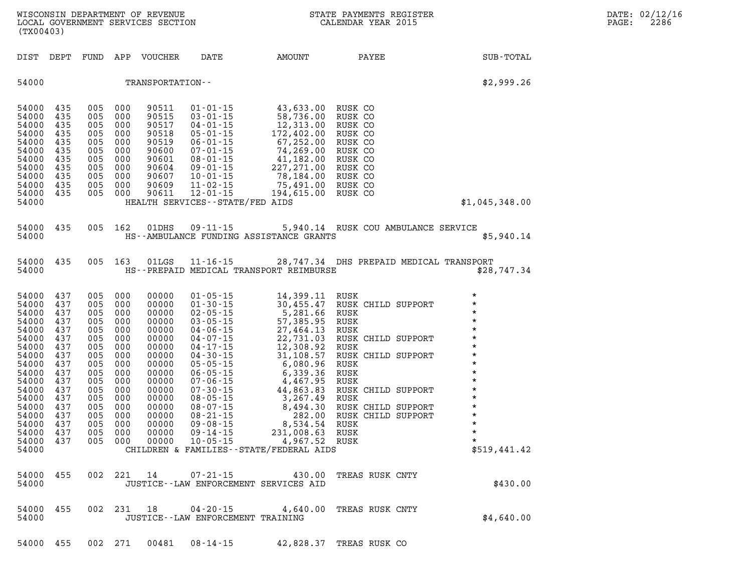| (TX00403)                                                                                                                                                                   |                                                                                                                     |                                                                                                                         |                                                                                                              |                                                                                                                                                       |                                                                                                                                                                                                                                                                                  |                                                                                                                                                                                                                                                                                                                            | STATE PAYMENTS REGISTER                                                                                                                                                                                                  | DATE: 02/12/16<br>2286<br>$\mathtt{PAGE}$ :                                                                                                                                       |  |
|-----------------------------------------------------------------------------------------------------------------------------------------------------------------------------|---------------------------------------------------------------------------------------------------------------------|-------------------------------------------------------------------------------------------------------------------------|--------------------------------------------------------------------------------------------------------------|-------------------------------------------------------------------------------------------------------------------------------------------------------|----------------------------------------------------------------------------------------------------------------------------------------------------------------------------------------------------------------------------------------------------------------------------------|----------------------------------------------------------------------------------------------------------------------------------------------------------------------------------------------------------------------------------------------------------------------------------------------------------------------------|--------------------------------------------------------------------------------------------------------------------------------------------------------------------------------------------------------------------------|-----------------------------------------------------------------------------------------------------------------------------------------------------------------------------------|--|
| DIST DEPT                                                                                                                                                                   |                                                                                                                     |                                                                                                                         |                                                                                                              | FUND APP VOUCHER                                                                                                                                      | DATE                                                                                                                                                                                                                                                                             | AMOUNT                                                                                                                                                                                                                                                                                                                     | PAYEE                                                                                                                                                                                                                    | SUB-TOTAL                                                                                                                                                                         |  |
| 54000                                                                                                                                                                       |                                                                                                                     |                                                                                                                         |                                                                                                              | TRANSPORTATION--                                                                                                                                      |                                                                                                                                                                                                                                                                                  |                                                                                                                                                                                                                                                                                                                            |                                                                                                                                                                                                                          | \$2,999.26                                                                                                                                                                        |  |
| 54000<br>54000<br>54000<br>54000<br>54000<br>54000<br>54000<br>54000<br>54000<br>54000<br>54000<br>54000                                                                    | 435<br>435<br>435<br>435<br>435<br>435<br>435<br>435<br>435<br>435<br>435                                           | 005<br>005<br>005<br>005<br>005<br>005<br>005<br>005<br>005<br>005<br>005 000                                           | 000<br>000<br>000<br>000<br>000<br>000<br>000<br>000<br>000<br>000                                           | 90511<br>90515<br>90517<br>90518<br>90519<br>90600<br>90601<br>90604<br>90607<br>90609<br>90611                                                       | $01 - 01 - 15$<br>$03 - 01 - 15$<br>04-01-15<br>$05 - 01 - 15$<br>$06 - 01 - 15$<br>07-01-15<br>08-01-15<br>09-01-15<br>10-01-15<br>$11 - 02 - 15$<br>12-01-15<br>HEALTH SERVICES - - STATE/FED AIDS                                                                             | 43,633.00 RUSK CO<br>58,736.00 RUSK CO<br>$12\,, 313\,.00\,172\,, 402\,.00\,67\,, 252\,.00\,74\,, 269\,.00$<br>$41,182.00$<br>$227,271.00$<br>78,184.00<br>75,491.00 RUSK CO<br>194,615.00                                                                                                                                 | RUSK CO<br>RUSK CO<br>RUSK CO<br>RUSK CO<br>RUSK CO<br>RUSK CO<br>RUSK CO<br>RUSK CO                                                                                                                                     | \$1,045,348.00                                                                                                                                                                    |  |
| 54000 435<br>54000                                                                                                                                                          |                                                                                                                     |                                                                                                                         | 005 162                                                                                                      | 01DHS                                                                                                                                                 |                                                                                                                                                                                                                                                                                  | HS--AMBULANCE FUNDING ASSISTANCE GRANTS                                                                                                                                                                                                                                                                                    | 09-11-15 5,940.14 RUSK COU AMBULANCE SERVICE                                                                                                                                                                             | \$5,940.14                                                                                                                                                                        |  |
| 54000 435<br>54000                                                                                                                                                          |                                                                                                                     | 005 163                                                                                                                 |                                                                                                              | 01LGS                                                                                                                                                 |                                                                                                                                                                                                                                                                                  | HS--PREPAID MEDICAL TRANSPORT REIMBURSE                                                                                                                                                                                                                                                                                    | 11-16-15 28,747.34 DHS PREPAID MEDICAL TRANSPORT                                                                                                                                                                         | \$28,747.34                                                                                                                                                                       |  |
| 54000<br>54000<br>54000<br>54000<br>54000<br>54000<br>54000<br>54000<br>54000<br>54000<br>54000<br>54000<br>54000<br>54000<br>54000<br>54000<br>54000<br>54000 437<br>54000 | 437<br>437<br>437<br>437<br>437<br>437<br>437<br>437<br>437<br>437<br>437<br>437<br>437<br>437<br>437<br>437<br>437 | 005<br>005<br>005<br>005<br>005<br>005<br>005<br>005<br>005<br>005<br>005<br>005<br>005<br>005<br>005<br>005<br>005 000 | 000<br>000<br>000<br>000<br>000<br>000<br>000<br>000<br>000<br>000<br>000<br>000<br>000<br>000<br>000<br>000 | 00000<br>00000<br>00000<br>00000<br>00000<br>00000<br>00000<br>00000<br>00000<br>00000<br>00000<br>00000<br>00000<br>00000<br>00000<br>00000<br>00000 | $01 - 05 - 15$<br>$01 - 30 - 15$<br>$02 - 05 - 15$<br>$03 - 05 - 15$<br>04-06-15<br>04-07-15<br>$04 - 17 - 15$<br>$04 - 30 - 15$<br>$05 - 05 - 15$<br>$06 - 05 - 15$<br>$07 - 06 - 15$<br>$07 - 30 - 15$<br>$08 - 05 - 15$<br>08-07-15<br>08-21-15<br>09-08-15<br>$09 - 14 - 15$ | 14,399.11<br>30,455.47<br>5,281.66<br>57,385.95<br>27,464.13<br>22,731.03<br>12,300.J_<br>31,108.57<br>- ^^^ 96<br>6,080.96<br>6,339.36<br>$4,467.95$<br>$44,863.83$<br>$3,267.49$<br>$8,494.30$<br>$282.00$<br>282.00<br>231,008.63<br>005 000 00000 10-05-15 4,967.52 RUSK<br>CHILDREN & FAMILIES - - STATE/FEDERAL AIDS | RUSK<br>RUSK CHILD SUPPORT<br>RUSK<br>RUSK<br>RUSK<br>RUSK CHILD SUPPORT<br>RUSK<br>RUSK CHILD SUPPORT<br>RUSK<br>RUSK<br>RUSK<br>RUSK CHILD SUPPORT<br>RUSK<br>RUSK CHILD SUPPORT<br>RUSK CHILD SUPPORT<br>RUSK<br>RUSK | $\star$<br>$\star$<br>$\star$<br>$\star$<br>$\star$<br>$\star$<br>$\star$<br>$\star$<br>$\star$<br>$\star$<br>$\star$<br>$\star$<br>$\star$<br>$\star$<br>$\star$<br>\$519,441.42 |  |
| 54000 455<br>54000                                                                                                                                                          |                                                                                                                     |                                                                                                                         |                                                                                                              |                                                                                                                                                       |                                                                                                                                                                                                                                                                                  | JUSTICE--LAW ENFORCEMENT SERVICES AID                                                                                                                                                                                                                                                                                      | 002 221 14 07-21-15 430.00 TREAS RUSK CNTY                                                                                                                                                                               | \$430.00                                                                                                                                                                          |  |
| 54000 455<br>54000                                                                                                                                                          |                                                                                                                     |                                                                                                                         |                                                                                                              |                                                                                                                                                       |                                                                                                                                                                                                                                                                                  | JUSTICE -- LAW ENFORCEMENT TRAINING                                                                                                                                                                                                                                                                                        | 002 231 18 04-20-15 4,640.00 TREAS RUSK CNTY                                                                                                                                                                             | \$4,640.00                                                                                                                                                                        |  |

**54000 455 002 271 00481 08-14-15 42,828.37 TREAS RUSK CO**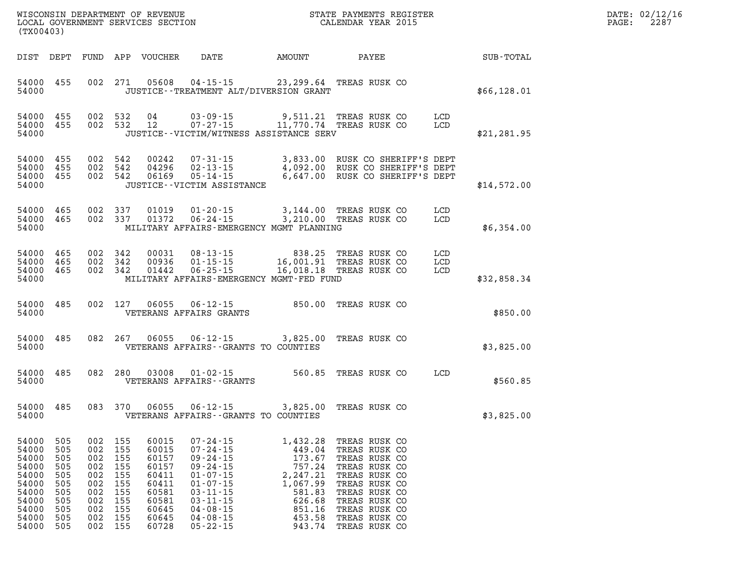| WISCONSIN DEPARTMENT OF REVENUE   | PAYMENTS REGISTER<br>3TATE - | DATE: | 02/12/16 |
|-----------------------------------|------------------------------|-------|----------|
| LOCAL GOVERNMENT SERVICES SECTION | CALENDAR YEAR 2015           | PAGE  | 2287     |

| (TX00403)                                                                                           |                                                                    |                                                             |                                                                                   | LOCAL GOVERNMENT SERVICES SECTION                                                               |                                                                                                                                                                                                    |                                                                                                      | CALENDAR YEAR 2015                                                                                                                                                                               |                   |              | PAGE: | 2287 |
|-----------------------------------------------------------------------------------------------------|--------------------------------------------------------------------|-------------------------------------------------------------|-----------------------------------------------------------------------------------|-------------------------------------------------------------------------------------------------|----------------------------------------------------------------------------------------------------------------------------------------------------------------------------------------------------|------------------------------------------------------------------------------------------------------|--------------------------------------------------------------------------------------------------------------------------------------------------------------------------------------------------|-------------------|--------------|-------|------|
| DIST DEPT                                                                                           |                                                                    |                                                             |                                                                                   | FUND APP VOUCHER                                                                                |                                                                                                                                                                                                    |                                                                                                      | DATE AMOUNT PAYEE SUB-TOTAL                                                                                                                                                                      |                   |              |       |      |
| 54000 455<br>54000                                                                                  |                                                                    |                                                             |                                                                                   |                                                                                                 | 002 271 05608 04-15-15 23,299.64 TREAS RUSK CO<br>JUSTICE - - TREATMENT ALT/DIVERSION GRANT                                                                                                        |                                                                                                      |                                                                                                                                                                                                  |                   | \$66,128.01  |       |      |
| 54000 455<br>54000 455<br>54000                                                                     |                                                                    |                                                             |                                                                                   |                                                                                                 | JUSTICE -- VICTIM/WITNESS ASSISTANCE SERV                                                                                                                                                          |                                                                                                      | 002 532 04 03-09-15 9,511.21 TREAS RUSK COLCD<br>002 532 12 07-27-15 11,770.74 TREAS RUSK COLCD                                                                                                  |                   | \$21, 281.95 |       |      |
| 54000<br>54000<br>54000 455<br>54000                                                                | 455<br>455                                                         |                                                             | 002 542<br>002 542<br>002 542                                                     | 00242<br>04296<br>06169                                                                         | JUSTICE - - VICTIM ASSISTANCE                                                                                                                                                                      |                                                                                                      | 07-31-15 3,833.00 RUSK CO SHERIFF'S DEPT<br>02-13-15 4,092.00 RUSK CO SHERIFF'S DEPT<br>05-14-15 6,647.00 RUSK CO SHERIFF'S DEPT                                                                 |                   | \$14,572.00  |       |      |
| 54000 465<br>54000 465<br>54000                                                                     |                                                                    |                                                             | 002 337<br>002 337                                                                | 01019<br>01372                                                                                  | $01 - 20 - 15$<br>$06 - 24 - 15$<br>MILITARY AFFAIRS-EMERGENCY MGMT PLANNING                                                                                                                       |                                                                                                      | 3,144.00 TREAS RUSK CO<br>3,210.00 TREAS RUSK CO                                                                                                                                                 | LCD<br>LCD        | \$6,354.00   |       |      |
| 54000 465<br>54000 465<br>54000 465<br>54000                                                        |                                                                    |                                                             | 002 342<br>002 342<br>002 342                                                     |                                                                                                 | 00031  08-13-15  838.25  TREAS RUSK CO<br>00936  01-15-15  16,001.91  TREAS RUSK CO<br>01442  06-25-15  16,018.18  TREAS RUSK CO<br>MILITARY AFFAIRS-EMERGENCY MGMT-FED FUND                       |                                                                                                      |                                                                                                                                                                                                  | LCD<br>LCD<br>LCD | \$32,858.34  |       |      |
| 54000 485<br>54000                                                                                  |                                                                    |                                                             |                                                                                   |                                                                                                 | 002 127 06055 06-12-15 850.00 TREAS RUSK CO<br>VETERANS AFFAIRS GRANTS                                                                                                                             |                                                                                                      |                                                                                                                                                                                                  |                   | \$850.00     |       |      |
| 54000 485<br>54000                                                                                  |                                                                    |                                                             |                                                                                   | 082 267 06055                                                                                   | 06-12-15 3,825.00 TREAS RUSK CO<br>VETERANS AFFAIRS--GRANTS TO COUNTIES                                                                                                                            |                                                                                                      |                                                                                                                                                                                                  |                   | \$3,825.00   |       |      |
| 54000 485<br>54000                                                                                  |                                                                    |                                                             |                                                                                   |                                                                                                 | 082 280 03008 01-02-15<br>VETERANS AFFAIRS--GRANTS                                                                                                                                                 |                                                                                                      | 560.85 TREAS RUSK CO                                                                                                                                                                             | LCD               | \$560.85     |       |      |
| 54000 485<br>54000                                                                                  |                                                                    |                                                             |                                                                                   | 083 370 06055                                                                                   | 06-12-15 3,825.00 TREAS RUSK CO<br>VETERANS AFFAIRS--GRANTS TO COUNTIES                                                                                                                            |                                                                                                      |                                                                                                                                                                                                  |                   | \$3,825.00   |       |      |
| 54000 505<br>54000<br>54000<br>54000<br>54000<br>54000<br>54000<br>54000<br>54000<br>54000<br>54000 | 505<br>505<br>505<br>505<br>505<br>505<br>505<br>505<br>505<br>505 | 002<br>002<br>002<br>002<br>002<br>002<br>002<br>002<br>002 | 002 155<br>155<br>155<br>155<br>155<br>155<br>155<br>155<br>155<br>155<br>002 155 | 60015<br>60015<br>60157<br>60157<br>60411<br>60411<br>60581<br>60581<br>60645<br>60645<br>60728 | $07 - 24 - 15$<br>$07 - 24 - 15$<br>$09 - 24 - 15$<br>$09 - 24 - 15$<br>$01 - 07 - 15$<br>$01 - 07 - 15$<br>$03 - 11 - 15$<br>$03 - 11 - 15$<br>$04 - 08 - 15$<br>$04 - 08 - 15$<br>$05 - 22 - 15$ | 449.04<br>173.67<br>757.24<br>2,247.21<br>1,067.99<br>581.83<br>626.68<br>851.16<br>453.58<br>943.74 | 1,432.28 TREAS RUSK CO<br>TREAS RUSK CO<br>TREAS RUSK CO<br>TREAS RUSK CO<br>TREAS RUSK CO<br>TREAS RUSK CO<br>TREAS RUSK CO<br>TREAS RUSK CO<br>TREAS RUSK CO<br>TREAS RUSK CO<br>TREAS RUSK CO |                   |              |       |      |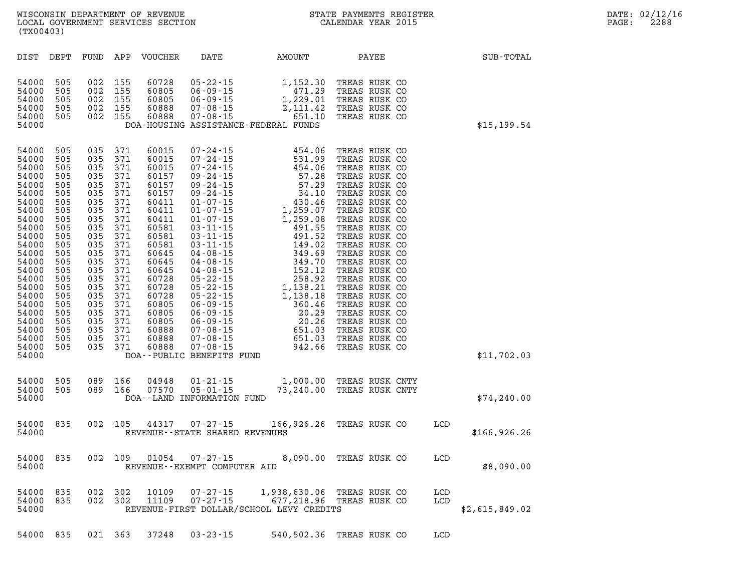| (TX00403)                                                                                                                                                                                                                     |                                                                                                                                                                      |                                                                                                                                                               |                                                                                                                                                                          |                                                                                                                                                                                                                                                   |                |                                                                                                                                                                                      | WISCONSIN DEPARTMENT OF REVENUE<br>LOCAL GOVERNMENT SERVICES SECTION<br>(TYOO402)<br>(TYOO402) |  |              |  | DATE: 02/12/1<br>2288 |
|-------------------------------------------------------------------------------------------------------------------------------------------------------------------------------------------------------------------------------|----------------------------------------------------------------------------------------------------------------------------------------------------------------------|---------------------------------------------------------------------------------------------------------------------------------------------------------------|--------------------------------------------------------------------------------------------------------------------------------------------------------------------------|---------------------------------------------------------------------------------------------------------------------------------------------------------------------------------------------------------------------------------------------------|----------------|--------------------------------------------------------------------------------------------------------------------------------------------------------------------------------------|------------------------------------------------------------------------------------------------|--|--------------|--|-----------------------|
| DIST DEPT                                                                                                                                                                                                                     |                                                                                                                                                                      |                                                                                                                                                               |                                                                                                                                                                          | FUND APP VOUCHER                                                                                                                                                                                                                                  | DATE           | AMOUNT                                                                                                                                                                               | <b>PAYEE</b>                                                                                   |  | SUB-TOTAL    |  |                       |
| 54000<br>54000<br>54000<br>54000<br>54000<br>54000                                                                                                                                                                            | 505<br>505<br>505<br>505<br>505                                                                                                                                      | 002 155<br>002 155<br>002 155<br>002 155                                                                                                                      | 002 155                                                                                                                                                                  | 60728<br>60805<br>60805<br>60888<br>60888                                                                                                                                                                                                         |                | 05-22-15<br>06-09-15<br>06-09-15<br>07-08-15<br>07-08-15<br>07-08-15<br>07-08-15<br>07-08-15<br>07-08-15<br>07-08-15<br>07-08-15<br>07-08-15<br>DOA-HOUSING ASSISTANCE-FEDERAL FUNDS | TREAS RUSK CO<br>TREAS RUSK CO<br>TREAS RUSK CO<br>TREAS RUSK CO<br>TREAS RUSK CO              |  | \$15, 199.54 |  |                       |
| 54000<br>54000<br>54000<br>54000<br>54000<br>54000<br>54000<br>54000<br>54000<br>54000<br>54000<br>54000<br>54000<br>54000<br>54000<br>54000<br>54000<br>54000<br>54000<br>54000<br>54000<br>54000<br>54000<br>54000<br>54000 | 505<br>505<br>505<br>505<br>505<br>505<br>505<br>505<br>505<br>505<br>505<br>505<br>505<br>505<br>505<br>505<br>505<br>505<br>505<br>505<br>505<br>505<br>505<br>505 | 035<br>035<br>035<br>035<br>035<br>035<br>035<br>035<br>035<br>035<br>035<br>035<br>035<br>035<br>035<br>035<br>035<br>035<br>035<br>035<br>035<br>035<br>035 | 371<br>371<br>371<br>371<br>371<br>371<br>371<br>371<br>371<br>371<br>371<br>371<br>371<br>371<br>371<br>371<br>371<br>371<br>371<br>371<br>371<br>371<br>371<br>035 371 | 60015<br>60015<br>60015<br>60157<br>60157<br>60157<br>60411<br>60411<br>60411<br>60581<br>60581<br>60581<br>60645<br>60645<br>60645<br>60728<br>60728<br>60728<br>60805<br>60805<br>60805<br>60888<br>60888<br>60888<br>DOA--PUBLIC BENEFITS FUND |                |                                                                                                                                                                                      |                                                                                                |  | \$11,702.03  |  |                       |
| 54000 505                                                                                                                                                                                                                     |                                                                                                                                                                      |                                                                                                                                                               | 089 166                                                                                                                                                                  | 04948                                                                                                                                                                                                                                             | $01 - 21 - 15$ | 1,000.00 TREAS RUSK CNTY                                                                                                                                                             |                                                                                                |  |              |  |                       |

| ∪טט טטש±כ |  | ∪ט⊾ עט | U TU U TU TU                     | 1,000.00 | TREAD RODR CNII           |             |
|-----------|--|--------|----------------------------------|----------|---------------------------|-------------|
|           |  |        | 54000 505 089 166 07570 05-01-15 |          | 73,240.00 TREAS RUSK CNTY |             |
| 54000     |  |        | DOA--LAND INFORMATION FUND       |          |                           | \$74,240.00 |

**54000 835 002 105 44317 07-27-15 166,926.26 TREAS RUSK CO LCD 54000 REVENUE--STATE SHARED REVENUES \$166,926.26** 

**54000 835 002 109 01054 07-27-15 8,090.00 TREAS RUSK CO LCD 54000 REVENUE--EXEMPT COMPUTER AID \$8,090.00** 

|       |  |  | 54000 835 002 302 10109 07-27-15 | 1,938,630.06 TREAS RUSK CO                                | LCD |                |
|-------|--|--|----------------------------------|-----------------------------------------------------------|-----|----------------|
|       |  |  |                                  | 54000 835 002 302 11109 07-27-15 677,218.96 TREAS RUSK CO | LCD |                |
| 54000 |  |  |                                  | REVENUE-FIRST DOLLAR/SCHOOL LEVY CREDITS                  |     | \$2,615,849.02 |

**54000 835 021 363 37248 03-23-15 540,502.36 TREAS RUSK CO LCD**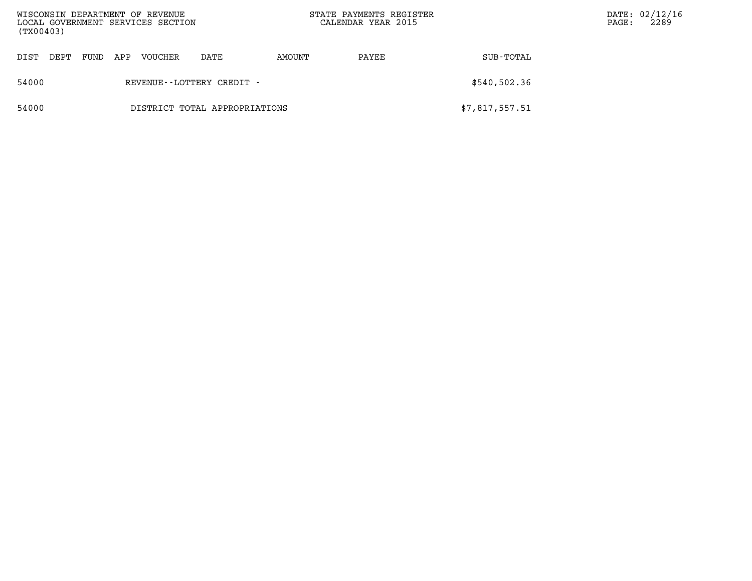| (TX00403) |                               |      |     | WISCONSIN DEPARTMENT OF REVENUE<br>LOCAL GOVERNMENT SERVICES SECTION |                              |        | STATE PAYMENTS REGISTER<br>CALENDAR YEAR 2015 |                | PAGE: | DATE: 02/12/16<br>2289 |
|-----------|-------------------------------|------|-----|----------------------------------------------------------------------|------------------------------|--------|-----------------------------------------------|----------------|-------|------------------------|
| DIST      | DEPT                          | FUND | APP | VOUCHER                                                              | DATE                         | AMOUNT | PAYEE                                         | SUB-TOTAL      |       |                        |
| 54000     |                               |      |     |                                                                      | REVENUE - - LOTTERY CREDIT - |        |                                               | \$540,502.36   |       |                        |
| 54000     | DISTRICT TOTAL APPROPRIATIONS |      |     |                                                                      |                              |        |                                               | \$7,817,557.51 |       |                        |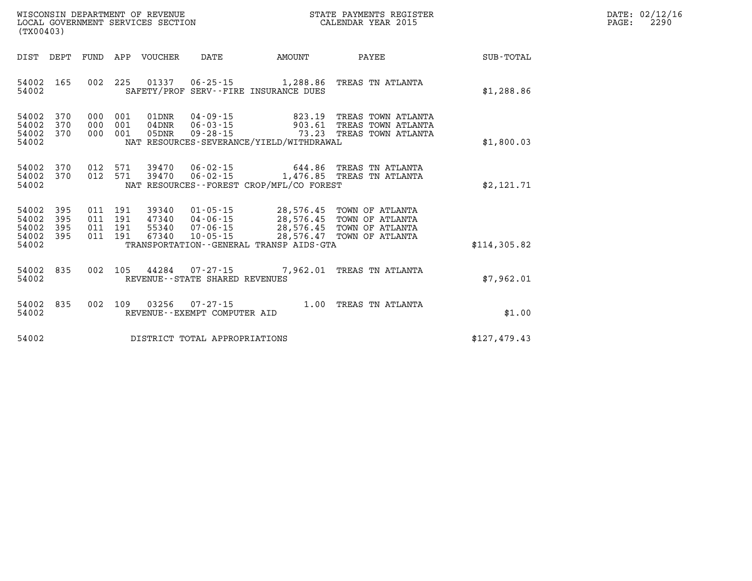| $\mathtt{DATE}$ : | 02/12/16 |
|-------------------|----------|
| $\texttt{PAGE:}$  | 2290     |

| (TX00403)                                                                                         |                                                                                                                                                                                 |                                                                                                                        |              |
|---------------------------------------------------------------------------------------------------|---------------------------------------------------------------------------------------------------------------------------------------------------------------------------------|------------------------------------------------------------------------------------------------------------------------|--------------|
| DIST<br>DEPT<br>FUND                                                                              | VOUCHER<br>APP<br>DATE                                                                                                                                                          | AMOUNT<br>PAYEE                                                                                                        | SUB-TOTAL    |
| 165<br>002<br>54002<br>54002                                                                      | 225<br>01337<br>$06 - 25 - 15$<br>SAFETY/PROF SERV--FIRE INSURANCE DUES                                                                                                         | 1,288.86<br>TREAS TN ATLANTA                                                                                           | \$1,288.86   |
| 54002<br>370<br>000<br>54002<br>370<br>000<br>370<br>54002<br>000<br>54002                        | 01DNR<br>$04 - 09 - 15$<br>001<br>$06 - 03 - 15$<br>001<br>04DNR<br>$09 - 28 - 15$<br>001<br>05DNR<br>NAT RESOURCES-SEVERANCE/YIELD/WITHDRAWAL                                  | 823.19<br>TREAS TOWN ATLANTA<br>903.61<br>TREAS TOWN ATLANTA<br>73.23<br>TREAS TOWN ATLANTA                            | \$1,800.03   |
| 370<br>012<br>54002<br>54002<br>370<br>012<br>54002                                               | 571<br>39470<br>$06 - 02 - 15$<br>571<br>$06 - 02 - 15$<br>39470<br>NAT RESOURCES - - FOREST CROP/MFL/CO FOREST                                                                 | 644.86<br>TREAS TN ATLANTA<br>1,476.85 TREAS TN ATLANTA                                                                | \$2,121.71   |
| 395<br>54002<br>011<br>395<br>54002<br>011<br>395<br>54002<br>011<br>54002<br>395<br>011<br>54002 | 191<br>39340<br>$01 - 05 - 15$<br>191<br>$04 - 06 - 15$<br>47340<br>191<br>55340<br>$07 - 06 - 15$<br>191<br>$10 - 05 - 15$<br>67340<br>TRANSPORTATION--GENERAL TRANSP AIDS-GTA | 28,576.45<br>TOWN OF ATLANTA<br>28,576.45 TOWN OF ATLANTA<br>28,576.45 TOWN OF ATLANTA<br>28,576.47<br>TOWN OF ATLANTA | \$114,305.82 |
| 835<br>002<br>54002<br>54002                                                                      | 105<br>44284<br>$07 - 27 - 15$<br>REVENUE - - STATE SHARED REVENUES                                                                                                             | 7,962.01<br>TREAS TN ATLANTA                                                                                           | \$7,962.01   |
| 835<br>002<br>54002<br>54002                                                                      | 03256<br>109<br>$07 - 27 - 15$<br>REVENUE--EXEMPT COMPUTER AID                                                                                                                  | 1.00<br>TREAS TN ATLANTA                                                                                               | \$1.00       |
| 54002                                                                                             | DISTRICT TOTAL APPROPRIATIONS                                                                                                                                                   |                                                                                                                        | \$127,479.43 |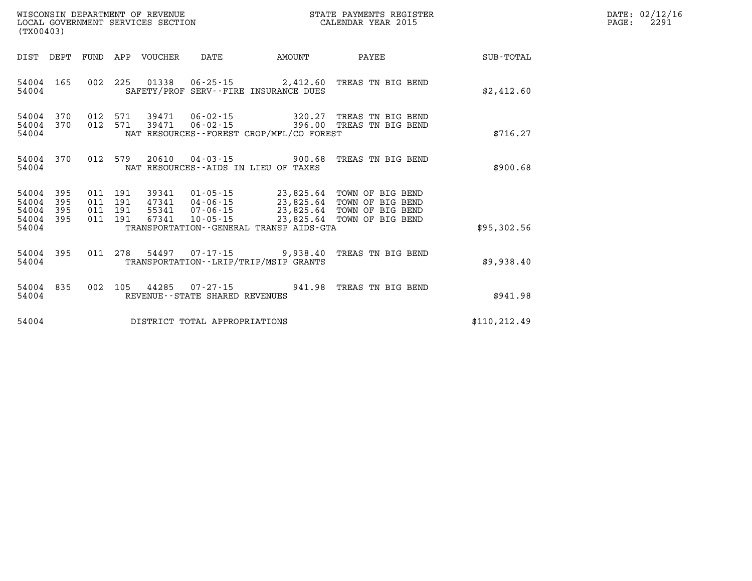| WISCONSIN DEPARTMENT OF REVENUE<br>LOCAL GOVERNMENT SERVICES SECTION CALENDAR YEAR 2015<br>(TX00403) |                                             |  |  |  |                                |                                               |                                                                                                                                                                                         |                                                        | DATE: 02/12/16<br>2291<br>$\mathtt{PAGE:}$ |
|------------------------------------------------------------------------------------------------------|---------------------------------------------|--|--|--|--------------------------------|-----------------------------------------------|-----------------------------------------------------------------------------------------------------------------------------------------------------------------------------------------|--------------------------------------------------------|--------------------------------------------|
|                                                                                                      |                                             |  |  |  |                                |                                               |                                                                                                                                                                                         | DIST DEPT FUND APP VOUCHER DATE AMOUNT PAYEE SUB-TOTAL |                                            |
| 54004                                                                                                |                                             |  |  |  |                                | SAFETY/PROF SERV--FIRE INSURANCE DUES         | 54004 165 002 225 01338 06-25-15 2,412.60 TREAS TN BIG BEND                                                                                                                             | \$2,412.60                                             |                                            |
|                                                                                                      | 54004                                       |  |  |  |                                | NAT RESOURCES--FOREST CROP/MFL/CO FOREST      | 54004 370 012 571 39471 06-02-15 320.27 TREAS TN BIG BEND<br>54004 370 012 571 39471 06-02-15 396.00 TREAS TN BIG BEND                                                                  | \$716.27                                               |                                            |
| 54004                                                                                                | 54004 370                                   |  |  |  |                                | NAT RESOURCES--AIDS IN LIEU OF TAXES          | 012 579 20610 04-03-15 900.68 TREAS TN BIG BEND                                                                                                                                         | \$900.68                                               |                                            |
| 54004 395                                                                                            | 54004 395<br>54004 395 011 191<br>54004 395 |  |  |  |                                | 54004 TRANSPORTATION--GENERAL TRANSP AIDS-GTA | 011 191 39341 01-05-15 23,825.64 TOWN OF BIG BEND<br>011 191 47341 04-06-15<br>011 191 55341 07-06-15<br>011 191 67341 10-05-15<br>011 191 67341 10-05-15<br>23,825.64 TOWN OF BIG BEND | \$95,302.56                                            |                                            |
|                                                                                                      | 54004 395                                   |  |  |  |                                | 54004 TRANSPORTATION--LRIP/TRIP/MSIP GRANTS   | 011 278 54497 07-17-15 9,938.40 TREAS TN BIG BEND                                                                                                                                       | \$9,938.40                                             |                                            |
|                                                                                                      | 54004 835<br>54004                          |  |  |  | REVENUE--STATE SHARED REVENUES |                                               | 002 105 44285 07-27-15 941.98 TREAS TN BIG BEND                                                                                                                                         | \$941.98                                               |                                            |
| 54004                                                                                                |                                             |  |  |  | DISTRICT TOTAL APPROPRIATIONS  |                                               |                                                                                                                                                                                         | \$110, 212.49                                          |                                            |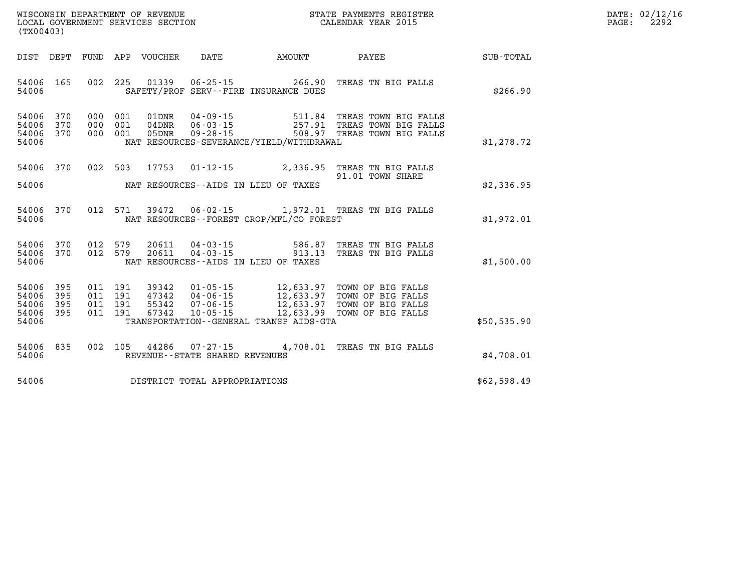| DATE:             | 02/12/16 |
|-------------------|----------|
| $\mathtt{PAGE}$ : | 2292     |

| (TX00403)                                                             |                                                                                                                                                                                                          |                                                                                                                               |                  |
|-----------------------------------------------------------------------|----------------------------------------------------------------------------------------------------------------------------------------------------------------------------------------------------------|-------------------------------------------------------------------------------------------------------------------------------|------------------|
| FUND<br>DIST<br>DEPT                                                  | APP<br>VOUCHER<br>DATE                                                                                                                                                                                   | AMOUNT<br>PAYEE                                                                                                               | <b>SUB-TOTAL</b> |
| 54006<br>165<br>54006                                                 | 002<br>225<br>01339<br>SAFETY/PROF SERV--FIRE INSURANCE DUES                                                                                                                                             | $06 - 25 - 15$<br>266.90<br>TREAS TN BIG FALLS                                                                                | \$266.90         |
| 54006<br>370<br>370<br>54006<br>370<br>54006<br>54006                 | 000<br>001<br>01DNR<br>001<br>000<br>$04$ DNR<br>$06 - 03 - 15$<br>000<br>001<br>05DNR<br>NAT RESOURCES-SEVERANCE/YIELD/WITHDRAWAL                                                                       | 511.84 TREAS TOWN BIG FALLS<br>$04 - 09 - 15$<br>257.91 TREAS TOWN BIG FALLS<br>$09 - 28 - 15$<br>508.97 TREAS TOWN BIG FALLS | \$1,278.72       |
| 54006<br>370<br>54006                                                 | 002<br>503<br>17753<br>$01 - 12 - 15$<br>NAT RESOURCES--AIDS IN LIEU OF TAXES                                                                                                                            | 2,336.95<br>TREAS TN BIG FALLS<br>91.01 TOWN SHARE                                                                            | \$2,336.95       |
| 370<br>54006<br>54006                                                 | 012<br>571<br>39472<br>$06 - 02 - 15$<br>NAT RESOURCES - - FOREST CROP/MFL/CO FOREST                                                                                                                     | 1,972.01 TREAS TN BIG FALLS                                                                                                   | \$1,972.01       |
| 370<br>54006<br>370<br>54006<br>54006                                 | 012<br>579<br>20611<br>04-03-15<br>012<br>579<br>20611<br>NAT RESOURCES -- AIDS IN LIEU OF TAXES                                                                                                         | 586.87<br>TREAS TN BIG FALLS<br>$04 - 03 - 15$<br>913.13<br>TREAS TN BIG FALLS                                                | \$1,500.00       |
| 395<br>54006<br>54006<br>395<br>54006<br>395<br>54006<br>395<br>54006 | 011 191<br>39342<br>$01 - 05 - 15$<br>191<br>011<br>47342<br>$04 - 06 - 15$<br>191<br>55342<br>011<br>$07 - 06 - 15$<br>191<br>67342<br>$10 - 05 - 15$<br>011<br>TRANSPORTATION--GENERAL TRANSP AIDS-GTA | 12,633.97 TOWN OF BIG FALLS<br>12,633.97 TOWN OF BIG FALLS<br>12,633.97 TOWN OF BIG FALLS<br>12,633.99<br>TOWN OF BIG FALLS   | \$50,535.90      |
| 835<br>54006<br>54006                                                 | 002<br>105<br>44286<br>07-27-15<br>REVENUE - - STATE SHARED REVENUES                                                                                                                                     | 4,708.01 TREAS TN BIG FALLS                                                                                                   | \$4,708.01       |
| 54006                                                                 | DISTRICT TOTAL APPROPRIATIONS                                                                                                                                                                            |                                                                                                                               | \$62,598.49      |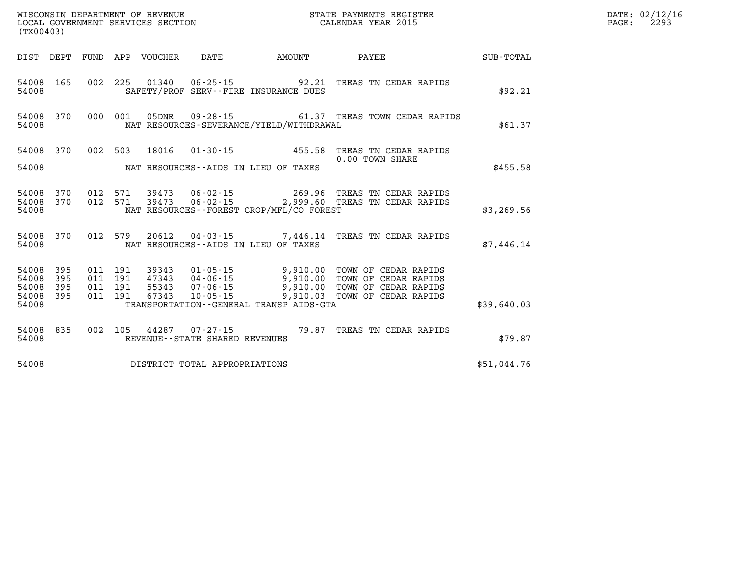| $\mathtt{DATE}$ : | 02/12/16 |
|-------------------|----------|
| PAGE:             | 2293     |

| (TX00403)                        |                          |                          |                          | WISCONSIN DEPARTMENT OF REVENUE<br>LOCAL GOVERNMENT SERVICES SECTION |                                                                | STATE PAYMENTS REGISTER<br>CALENDAR YEAR 2015      |                                                                                              |             |  |
|----------------------------------|--------------------------|--------------------------|--------------------------|----------------------------------------------------------------------|----------------------------------------------------------------|----------------------------------------------------|----------------------------------------------------------------------------------------------|-------------|--|
| DIST                             | DEPT                     | FUND                     | APP                      | VOUCHER                                                              | DATE                                                           | AMOUNT                                             | PAYEE                                                                                        | SUB-TOTAL   |  |
| 54008<br>54008                   | 165                      | 002                      | 225                      | 01340                                                                | $06 - 25 - 15$                                                 | 92.21<br>SAFETY/PROF SERV--FIRE INSURANCE DUES     | TREAS TN CEDAR RAPIDS                                                                        | \$92.21     |  |
| 54008<br>54008                   | 370                      | 000                      | 001                      | 05DNR                                                                |                                                                | NAT RESOURCES-SEVERANCE/YIELD/WITHDRAWAL           | 09-28-15 61.37 TREAS TOWN CEDAR RAPIDS                                                       | \$61.37     |  |
| 54008                            | 370                      | 002                      | 503                      | 18016                                                                | $01 - 30 - 15$                                                 | 455.58                                             | TREAS TN CEDAR RAPIDS<br>0.00 TOWN SHARE                                                     |             |  |
| 54008                            |                          |                          |                          |                                                                      |                                                                | NAT RESOURCES--AIDS IN LIEU OF TAXES               |                                                                                              | \$455.58    |  |
| 54008<br>54008<br>54008          | 370<br>370               | 012<br>012               | 571<br>571               | 39473<br>39473                                                       | $06 - 02 - 15$                                                 | 269.96<br>NAT RESOURCES--FOREST CROP/MFL/CO FOREST | TREAS TN CEDAR RAPIDS<br>06-02-15 2,999.60 TREAS TN CEDAR RAPIDS                             | \$3, 269.56 |  |
| 54008<br>54008                   | 370                      | 012                      | 579                      | 20612                                                                |                                                                | NAT RESOURCES -- AIDS IN LIEU OF TAXES             | 04-03-15 7,446.14 TREAS TN CEDAR RAPIDS                                                      | \$7,446.14  |  |
| 54008<br>54008<br>54008<br>54008 | 395<br>395<br>395<br>395 | 011<br>011<br>011<br>011 | 191<br>191<br>191<br>191 | 39343<br>47343<br>55343<br>67343                                     | $01 - 05 - 15$<br>04-06-15<br>$07 - 06 - 15$<br>$10 - 05 - 15$ | 9,910.00<br>9,910.00<br>9,910.00<br>9,910.03       | TOWN OF CEDAR RAPIDS<br>TOWN OF CEDAR RAPIDS<br>TOWN OF CEDAR RAPIDS<br>TOWN OF CEDAR RAPIDS |             |  |
| 54008                            |                          |                          |                          |                                                                      |                                                                | TRANSPORTATION--GENERAL TRANSP AIDS-GTA            |                                                                                              | \$39,640.03 |  |
| 54008<br>54008                   | 835                      | 002                      | 105                      | 44287                                                                | $07 - 27 - 15$<br>REVENUE - - STATE SHARED REVENUES            | 79.87                                              | TREAS TN CEDAR RAPIDS                                                                        | \$79.87     |  |
| 54008                            |                          |                          |                          |                                                                      | DISTRICT TOTAL APPROPRIATIONS                                  |                                                    |                                                                                              | \$51,044.76 |  |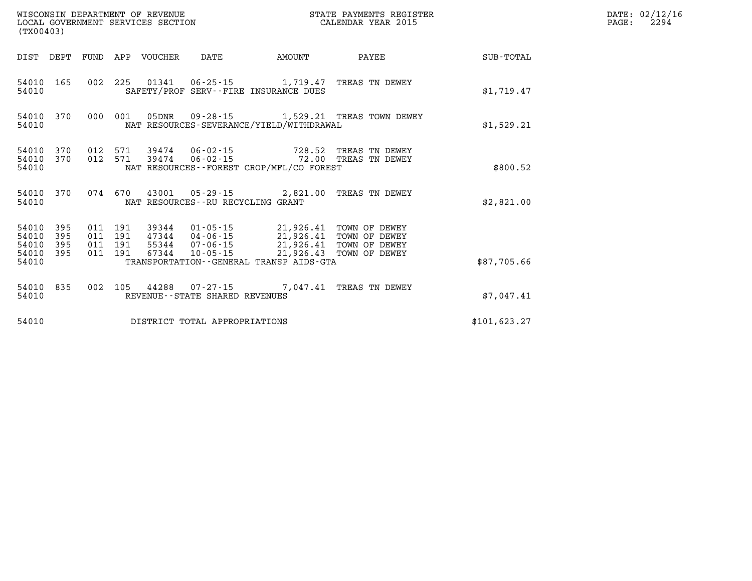| (TX00403)                                 |                          |                          |                          | WISCONSIN DEPARTMENT OF REVENUE<br>LOCAL GOVERNMENT SERVICES SECTION |                                              |                                                      | STATE PAYMENTS REGISTER<br>CALENDAR YEAR 2015 |               |  |  |
|-------------------------------------------|--------------------------|--------------------------|--------------------------|----------------------------------------------------------------------|----------------------------------------------|------------------------------------------------------|-----------------------------------------------|---------------|--|--|
| DIST                                      | DEPT                     | FUND                     | APP                      | VOUCHER                                                              | DATE                                         | AMOUNT                                               | PAYEE                                         | SUB-TOTAL     |  |  |
| 54010<br>54010                            | 165                      | 002                      | 225                      |                                                                      |                                              | SAFETY/PROF SERV--FIRE INSURANCE DUES                | 01341  06-25-15  1,719.47  TREAS TN DEWEY     | \$1,719.47    |  |  |
| 54010<br>54010                            | 370                      | 000                      | 001                      | 05DNR                                                                |                                              | NAT RESOURCES-SEVERANCE/YIELD/WITHDRAWAL             | 09-28-15 1,529.21 TREAS TOWN DEWEY            | \$1,529.21    |  |  |
| 54010<br>54010<br>54010                   | 370<br>370               | 012<br>012               | 571<br>571               |                                                                      |                                              | NAT RESOURCES - - FOREST CROP/MFL/CO FOREST          | TREAS TN DEWEY<br>TREAS TN DEWEY              | \$800.52      |  |  |
| 54010<br>54010                            | 370                      | 074 670                  |                          |                                                                      | NAT RESOURCES - - RU RECYCLING GRANT         |                                                      | 43001  05-29-15  2,821.00 TREAS TN DEWEY      | \$2,821.00    |  |  |
| 54010<br>54010<br>54010<br>54010<br>54010 | 395<br>395<br>395<br>395 | 011<br>011<br>011<br>011 | 191<br>191<br>191<br>191 | 39344<br>47344<br>55344<br>67344                                     | $04 - 06 - 15$<br>07-06-15<br>$10 - 05 - 15$ | 21,926.43<br>TRANSPORTATION--GENERAL TRANSP AIDS-GTA | 21,926.41 TOWN OF DEWEY<br>TOWN OF DEWEY      | \$87,705.66   |  |  |
| 54010<br>54010                            | 835                      | 002                      | 105                      |                                                                      | REVENUE - - STATE SHARED REVENUES            | 44288 07-27-15 7.047.41                              | TREAS TN DEWEY                                | \$7,047.41    |  |  |
| 54010                                     |                          |                          |                          |                                                                      | DISTRICT TOTAL APPROPRIATIONS                |                                                      |                                               | \$101, 623.27 |  |  |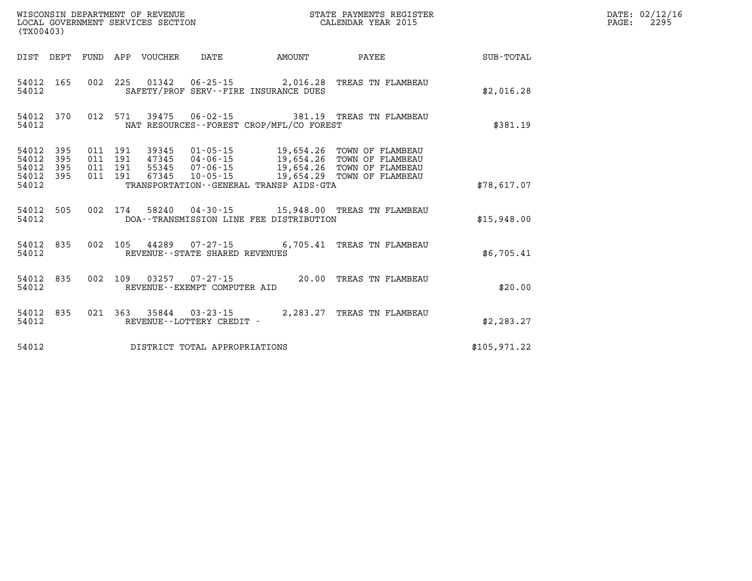| (TX00403)                                 |                          |                          |                          | WISCONSIN DEPARTMENT OF REVENUE<br>LOCAL GOVERNMENT SERVICES SECTION |                                                                              | STATE PAYMENTS REGISTER<br>CALENDAR YEAR 2015                                               |                                                                              |              |  |
|-------------------------------------------|--------------------------|--------------------------|--------------------------|----------------------------------------------------------------------|------------------------------------------------------------------------------|---------------------------------------------------------------------------------------------|------------------------------------------------------------------------------|--------------|--|
| DIST                                      | DEPT                     | FUND                     | APP                      | VOUCHER                                                              | <b>DATE</b>                                                                  | <b>AMOUNT</b>                                                                               | PAYEE                                                                        | SUB-TOTAL    |  |
| 54012<br>54012                            | 165                      | 002                      | 225                      | 01342                                                                |                                                                              | $06 - 25 - 15$ 2,016.28<br>SAFETY/PROF SERV--FIRE INSURANCE DUES                            | TREAS TN FLAMBEAU                                                            | \$2,016.28   |  |
| 54012<br>54012                            | 370                      | 012                      | 571                      | 39475                                                                | $06 - 02 - 15$                                                               | 381.19<br>NAT RESOURCES - - FOREST CROP/MFL/CO FOREST                                       | TREAS TN FLAMBEAU                                                            | \$381.19     |  |
| 54012<br>54012<br>54012<br>54012<br>54012 | 395<br>395<br>395<br>395 | 011<br>011<br>011<br>011 | 191<br>191<br>191<br>191 | 39345<br>47345<br>55345<br>67345                                     | 01-05-15<br>04 - 06 - 15<br>07 - 06 - 15<br>$07 - 06 - 15$<br>$10 - 05 - 15$ | 19,654.26<br>19,654.26<br>19,654.26<br>19,654.29<br>TRANSPORTATION--GENERAL TRANSP AIDS-GTA | TOWN OF FLAMBEAU<br>TOWN OF FLAMBEAU<br>TOWN OF FLAMBEAU<br>TOWN OF FLAMBEAU | \$78,617.07  |  |
| 54012<br>54012                            | 505                      | 002                      | 174                      | 58240                                                                |                                                                              | 04-30-15 15,948.00<br>DOA--TRANSMISSION LINE FEE DISTRIBUTION                               | TREAS TN FLAMBEAU                                                            | \$15,948.00  |  |
| 54012<br>54012                            | 835                      | 002                      | 105                      | 44289                                                                | $07 - 27 - 15$<br>REVENUE - - STATE SHARED REVENUES                          | 6,705.41                                                                                    | TREAS TN FLAMBEAU                                                            | \$6,705.41   |  |
| 54012<br>54012                            | 835                      | 002                      | 109                      | 03257                                                                | $07 - 27 - 15$<br>REVENUE--EXEMPT COMPUTER AID                               | 20.00                                                                                       | TREAS TN FLAMBEAU                                                            | \$20.00      |  |
| 54012<br>54012                            | 835                      | 021                      | 363                      | 35844                                                                | $03 - 23 - 15$<br>REVENUE--LOTTERY CREDIT -                                  | 2,283.27                                                                                    | TREAS TN FLAMBEAU                                                            | \$2, 283.27  |  |
| 54012                                     |                          |                          |                          |                                                                      | DISTRICT TOTAL APPROPRIATIONS                                                |                                                                                             |                                                                              | \$105.971.22 |  |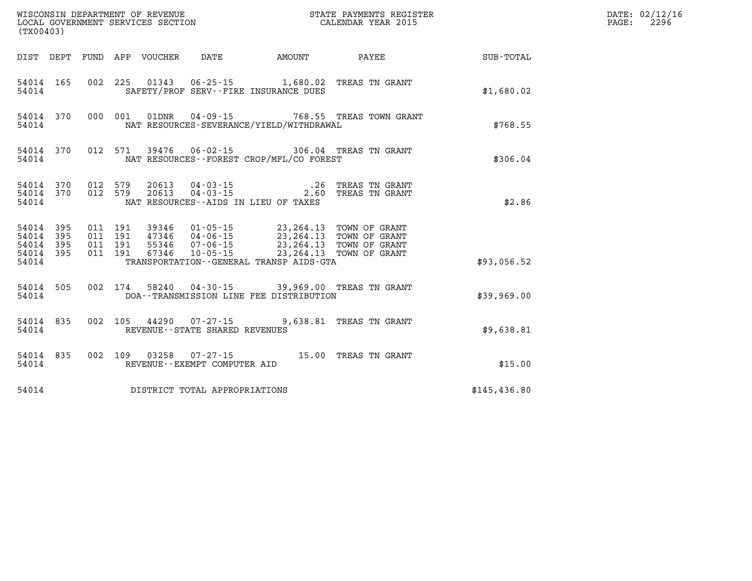| WISCONSIN DEPARTMENT OF REVENUE<br>LOCAL GOVERNMENT SERVICES SECTION<br>CALENDAR YEAR 2015<br>(TX00403) |                                     |       |  |  |                                         |                                                                                                                                                                                                                                                                                    |                                                          |                                                              | DATE: 02/12/16<br>PAGE: 2296 |
|---------------------------------------------------------------------------------------------------------|-------------------------------------|-------|--|--|-----------------------------------------|------------------------------------------------------------------------------------------------------------------------------------------------------------------------------------------------------------------------------------------------------------------------------------|----------------------------------------------------------|--------------------------------------------------------------|------------------------------|
|                                                                                                         |                                     |       |  |  |                                         |                                                                                                                                                                                                                                                                                    |                                                          | DIST DEPT FUND APP VOUCHER DATE AMOUNT PAYEE PAYER SUB-TOTAL |                              |
|                                                                                                         |                                     | 54014 |  |  |                                         | 54014 165 002 225 01343 06-25-15 1,680.02 TREAS TN GRANT<br>SAFETY/PROF SERV--FIRE INSURANCE DUES                                                                                                                                                                                  |                                                          | \$1,680.02                                                   |                              |
|                                                                                                         |                                     |       |  |  |                                         | 54014 NAT RESOURCES-SEVERANCE/YIELD/WITHDRAWAL                                                                                                                                                                                                                                     | 54014 370 000 001 01DNR 04-09-15 768.55 TREAS TOWN GRANT | \$768.55                                                     |                              |
|                                                                                                         |                                     |       |  |  |                                         | 54014 NAT RESOURCES--FOREST CROP/MFL/CO FOREST                                                                                                                                                                                                                                     | 54014 370 012 571 39476 06-02-15 306.04 TREAS TN GRANT   | \$306.04                                                     |                              |
|                                                                                                         |                                     |       |  |  |                                         | $\begin{array}{cccccc} 54014 & 370 & 012 & 579 & 20613 & 04-03-15 & .26 & \text{TREAS TN GRANT} \\ 54014 & 370 & 012 & 579 & 20613 & 04-03-15 & .2.60 & \text{TREAS TN GRANT} \end{array}$<br>54014 NAT RESOURCES--AIDS IN LIEU OF TAXES                                           |                                                          | \$2.86                                                       |                              |
|                                                                                                         | 54014 395<br>54014 395<br>54014 395 |       |  |  |                                         | $\begin{tabular}{cccc} 011 & 191 & 39346 & 01-05-15 & 23,264.13 & TOWN OF GRANT \\ 011 & 191 & 47346 & 04-06-15 & 23,264.13 & TOWN OF GRANT \\ 011 & 191 & 55346 & 07-06-15 & 23,264.13 & TOWN OF GRANT \\ 011 & 191 & 67346 & 10-05-15 & 23,264.13 & TOWN OF GRANT \end{tabular}$ |                                                          |                                                              |                              |
| 54014                                                                                                   | 54014 395                           |       |  |  |                                         | TRANSPORTATION - - GENERAL TRANSP AIDS - GTA                                                                                                                                                                                                                                       |                                                          | \$93,056.52                                                  |                              |
|                                                                                                         |                                     |       |  |  |                                         | 54014 505 002 174 58240 04-30-15 39,969.00 TREAS TN GRANT<br>54014 DOA--TRANSMISSION LINE FEE DISTRIBUTION                                                                                                                                                                         |                                                          | \$39,969.00                                                  |                              |
|                                                                                                         |                                     |       |  |  | 54014 REVENUE - - STATE SHARED REVENUES | 54014 835 002 105 44290 07-27-15 9,638.81 TREAS TN GRANT                                                                                                                                                                                                                           |                                                          | \$9,638.81                                                   |                              |
| 54014                                                                                                   |                                     |       |  |  | REVENUE--EXEMPT COMPUTER AID            |                                                                                                                                                                                                                                                                                    | 54014 835 002 109 03258 07-27-15 15.00 TREAS TN GRANT    | \$15.00                                                      |                              |
|                                                                                                         |                                     |       |  |  | 54014 DISTRICT TOTAL APPROPRIATIONS     |                                                                                                                                                                                                                                                                                    |                                                          | \$145,436.80                                                 |                              |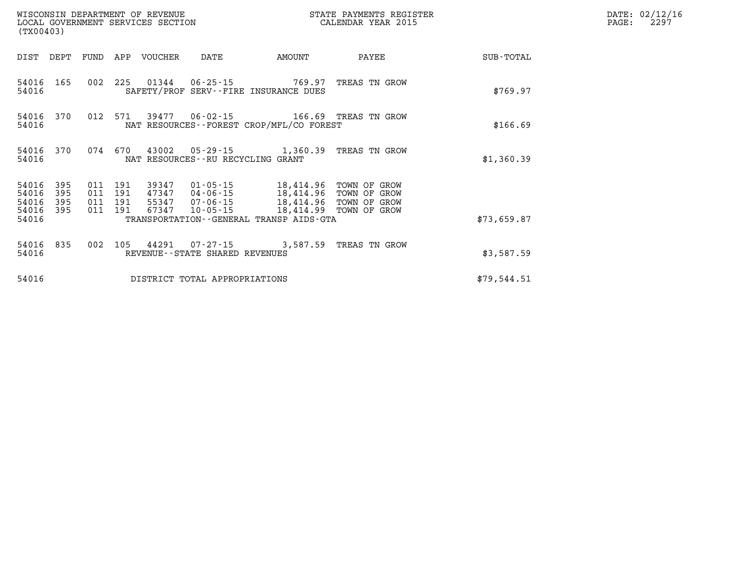| WISCONSIN DEPARTMENT OF REVENUE<br>LOCAL GOVERNMENT SERVICES SECTION<br>(TX00403) |                   |     |                                          |                         |                                      | STATE PAYMENTS REGISTER<br>CALENDAR YEAR 2015                                                                                                   |                              |             | DATE: 02/12/16<br>$\mathtt{PAGE}$ :<br>2297 |
|-----------------------------------------------------------------------------------|-------------------|-----|------------------------------------------|-------------------------|--------------------------------------|-------------------------------------------------------------------------------------------------------------------------------------------------|------------------------------|-------------|---------------------------------------------|
|                                                                                   | DIST DEPT FUND    |     | APP                                      | VOUCHER                 | DATE                                 | AMOUNT                                                                                                                                          | PAYEE                        | SUB-TOTAL   |                                             |
| 54016 165<br>54016                                                                |                   |     | 002 225                                  |                         |                                      | 01344    06-25-15    769.97<br>SAFETY/PROF SERV--FIRE INSURANCE DUES                                                                            | TREAS TN GROW                | \$769.97    |                                             |
| 54016                                                                             | 54016 370         |     | 012 571                                  |                         |                                      | 39477   06-02-15   166.69   TREAS TN GROW<br>NAT RESOURCES--FOREST CROP/MFL/CO FOREST                                                           |                              | \$166.69    |                                             |
| 54016                                                                             | 54016 370         |     | 074 670                                  |                         | NAT RESOURCES - - RU RECYCLING GRANT | 43002  05-29-15  1,360.39  TREAS TN GROW                                                                                                        |                              | \$1,360.39  |                                             |
| 54016 395<br>54016<br>54016<br>54016<br>54016                                     | 395<br>395<br>395 |     | 011 191<br>011 191<br>011 191<br>011 191 | 39347<br>47347<br>67347 | 01-05-15<br>$10 - 05 - 15$           | 18,414.96 TOWN OF GROW<br>04-06-15 18,414.96<br>55347  07-06-15  18,414.96<br>18,414.99 TOWN OF GROW<br>TRANSPORTATION--GENERAL TRANSP AIDS-GTA | TOWN OF GROW<br>TOWN OF GROW | \$73,659.87 |                                             |
| 54016 835<br>54016                                                                |                   | 002 | 105                                      |                         | REVENUE--STATE SHARED REVENUES       | 44291  07-27-15  3,587.59  TREAS TN GROW                                                                                                        |                              | \$3,587.59  |                                             |
| 54016                                                                             |                   |     |                                          |                         | DISTRICT TOTAL APPROPRIATIONS        |                                                                                                                                                 |                              | \$79,544.51 |                                             |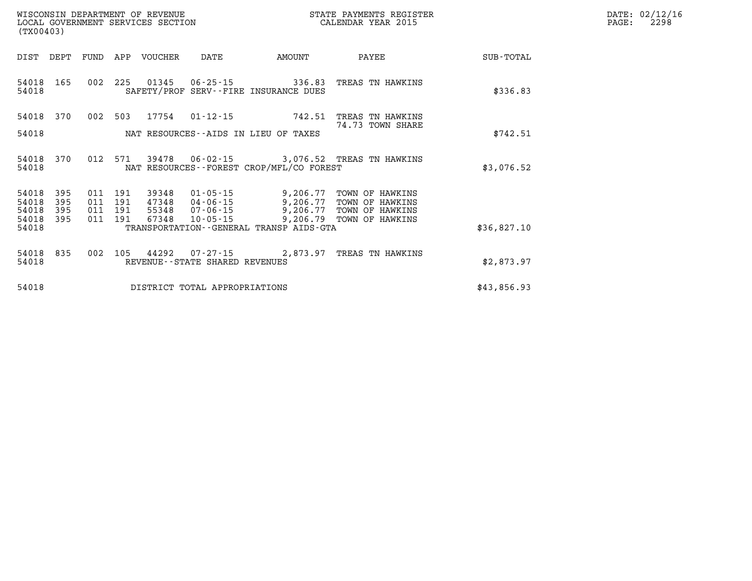| DATE: | 02/12/16 |
|-------|----------|
| PAGE: | 2298     |

| (TX00403)               |                   |                   |                   | WISCONSIN DEPARTMENT OF REVENUE<br>LOCAL GOVERNMENT SERVICES SECTION |                                            | STATE PAYMENTS REGISTER<br>CALENDAR YEAR 2015            |                                                       |             |  |
|-------------------------|-------------------|-------------------|-------------------|----------------------------------------------------------------------|--------------------------------------------|----------------------------------------------------------|-------------------------------------------------------|-------------|--|
| DIST                    | DEPT              | FUND              | APP               | <b>VOUCHER</b>                                                       | DATE                                       | AMOUNT                                                   | PAYEE                                                 | SUB-TOTAL   |  |
| 54018<br>54018          | 165               | 002               | 225               |                                                                      | $01345$ $06 - 25 - 15$                     | 336.83<br>SAFETY/PROF SERV--FIRE INSURANCE DUES          | TREAS TN HAWKINS                                      | \$336.83    |  |
| 54018                   | 370               | 002               | 503               | 17754                                                                | $01 - 12 - 15$                             | 742.51                                                   | TREAS TN HAWKINS<br>74.73 TOWN SHARE                  |             |  |
| 54018                   |                   | \$742.51          |                   |                                                                      |                                            |                                                          |                                                       |             |  |
| 54018<br>54018          | 370               | 012               | 571               | 39478                                                                |                                            | NAT RESOURCES - - FOREST CROP/MFL/CO FOREST              | 06-02-15 3,076.52 TREAS TN HAWKINS                    | \$3,076.52  |  |
| 54018<br>54018<br>54018 | 395<br>395<br>395 | 011<br>011<br>011 | 191<br>191<br>191 | 39348<br>47348<br>55348                                              | 01-05-15<br>04-06-15<br>07-06-15           | 9,206.77<br>9,206.77<br>9,206.77                         | TOWN OF HAWKINS<br>TOWN OF HAWKINS<br>TOWN OF HAWKINS |             |  |
| 54018<br>54018          | 395               | 011               | 191               | 67348                                                                | $10 - 05 - 15$                             | 9,206.79<br>TRANSPORTATION - - GENERAL TRANSP AIDS - GTA | TOWN OF HAWKINS                                       | \$36,827.10 |  |
| 54018<br>54018          | 835               | 002               | 105               | 44292                                                                | 07-27-15<br>REVENUE--STATE SHARED REVENUES | 2,873.97                                                 | TREAS TN HAWKINS                                      | \$2,873.97  |  |
| 54018                   |                   |                   |                   |                                                                      | DISTRICT TOTAL APPROPRIATIONS              |                                                          |                                                       | \$43,856.93 |  |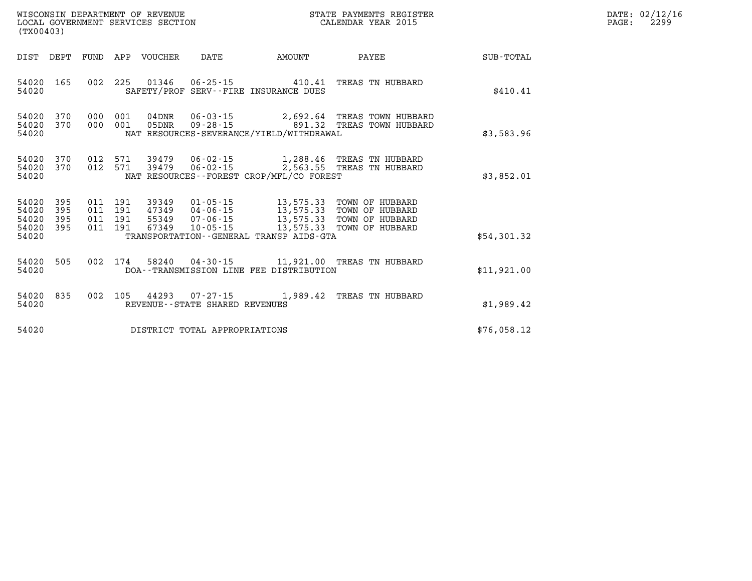| (TX00403)                                                             | WISCONSIN DEPARTMENT OF REVENUE<br>STATE PAYMENTS REGISTER<br>LOCAL GOVERNMENT SERVICES SECTION<br>CALENDAR YEAR 2015 |  |                                |                                            |                                                                                                                                                                                                      |             | DATE: 02/12/16<br>$\mathtt{PAGE}$ :<br>2299 |
|-----------------------------------------------------------------------|-----------------------------------------------------------------------------------------------------------------------|--|--------------------------------|--------------------------------------------|------------------------------------------------------------------------------------------------------------------------------------------------------------------------------------------------------|-------------|---------------------------------------------|
| DIST DEPT FUND APP VOUCHER DATE                                       |                                                                                                                       |  |                                | AMOUNT                                     | PAYEE                                                                                                                                                                                                | SUB-TOTAL   |                                             |
| 54020                                                                 |                                                                                                                       |  |                                | SAFETY/PROF SERV--FIRE INSURANCE DUES      | 54020 165 002 225 01346 06-25-15 410.41 TREAS TN HUBBARD                                                                                                                                             | \$410.41    |                                             |
| 54020<br>370<br>54020<br>54020                                        | 370 000 001<br>000 001                                                                                                |  |                                | NAT RESOURCES-SEVERANCE/YIELD/WITHDRAWAL   | 05DNR  09-28-15  891.32 TREAS TOWN HUBBARD                                                                                                                                                           | \$3,583.96  |                                             |
| 54020<br>54020<br>370<br>54020                                        |                                                                                                                       |  |                                | NAT RESOURCES -- FOREST CROP/MFL/CO FOREST | 370 012 571 39479 06-02-15 1,288.46 TREAS TN HUBBARD<br>012 571 39479 06-02-15 2,563.55 TREAS TN HUBBARD                                                                                             | \$3,852.01  |                                             |
| 54020<br>395<br>54020<br>395<br>54020<br>395<br>54020<br>395<br>54020 | 011 191<br>011 191<br>011 191<br>011 191                                                                              |  |                                | TRANSPORTATION--GENERAL TRANSP AIDS-GTA    | 39349   01-05-15   13,575.33   TOWN OF HUBBARD<br>47349   04-06-15   13,575.33   TOWN OF HUBBARD<br>55349   07-06-15   13,575.33   TOWN OF HUBBARD<br>67349   10-05-15   13,575.33   TOWN OF HUBBARD | \$54,301.32 |                                             |
| 54020 505<br>54020                                                    |                                                                                                                       |  |                                | DOA--TRANSMISSION LINE FEE DISTRIBUTION    | 002 174 58240 04-30-15 11,921.00 TREAS TN HUBBARD                                                                                                                                                    | \$11,921.00 |                                             |
| 54020<br>835<br>54020                                                 |                                                                                                                       |  | REVENUE--STATE SHARED REVENUES |                                            | 002 105 44293 07-27-15 1,989.42 TREAS TN HUBBARD                                                                                                                                                     | \$1,989.42  |                                             |
| 54020                                                                 |                                                                                                                       |  | DISTRICT TOTAL APPROPRIATIONS  |                                            |                                                                                                                                                                                                      | \$76,058.12 |                                             |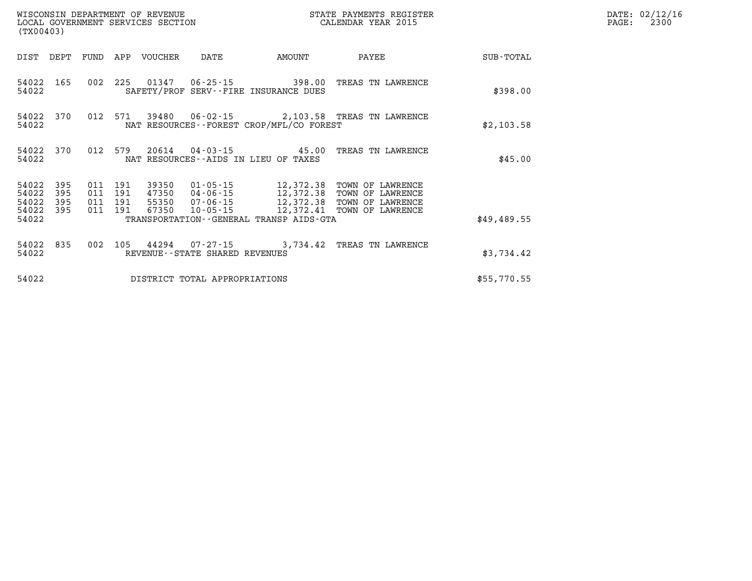| (TX00403)                                 |                          |     |                                          | WISCONSIN DEPARTMENT OF REVENUE | WISCONSIN DEPARTMENT OF REVENUE<br>LOCAL GOVERNMENT SERVICES SECTION |                                                                    | STATE PAYMENTS REGISTER<br>CALENDAR YEAR 2015                                                                                                                                            |             | DATE: 02/12/16<br>2300<br>PAGE: |
|-------------------------------------------|--------------------------|-----|------------------------------------------|---------------------------------|----------------------------------------------------------------------|--------------------------------------------------------------------|------------------------------------------------------------------------------------------------------------------------------------------------------------------------------------------|-------------|---------------------------------|
| DIST DEPT                                 |                          |     |                                          | FUND APP VOUCHER                | DATE                                                                 | <b>AMOUNT</b>                                                      | PAYEE                                                                                                                                                                                    | SUB-TOTAL   |                                 |
| 54022 165<br>54022                        |                          | 002 |                                          |                                 |                                                                      | 225 01347 06-25-15 398.00<br>SAFETY/PROF SERV--FIRE INSURANCE DUES | TREAS TN LAWRENCE                                                                                                                                                                        | \$398.00    |                                 |
| 54022                                     | 54022 370                |     |                                          |                                 |                                                                      | NAT RESOURCES--FOREST CROP/MFL/CO FOREST                           | 012 571 39480 06-02-15 2,103.58 TREAS TN LAWRENCE                                                                                                                                        | \$2,103.58  |                                 |
| 54022                                     | 54022 370                |     |                                          |                                 |                                                                      | NAT RESOURCES -- AIDS IN LIEU OF TAXES                             | 012 579 20614 04-03-15 45.00 TREAS TN LAWRENCE                                                                                                                                           | \$45.00     |                                 |
| 54022<br>54022<br>54022<br>54022<br>54022 | 395<br>395<br>395<br>395 |     | 011 191<br>011 191<br>011 191<br>011 191 |                                 |                                                                      | TRANSPORTATION--GENERAL TRANSP AIDS-GTA                            | 39350  01-05-15  12,372.38 TOWN OF LAWRENCE<br>47350  04-06-15  12,372.38 TOWN OF LAWRENCE<br>55350  07-06-15  12,372.38 TOWN OF LAWRENCE<br>67350  10-05-15  12,372.41 TOWN OF LAWRENCE | \$49,489.55 |                                 |
| 54022 835<br>54022                        |                          |     |                                          |                                 | REVENUE--STATE SHARED REVENUES                                       |                                                                    | 002 105 44294 07-27-15 3,734.42 TREAS TN LAWRENCE                                                                                                                                        | \$3,734.42  |                                 |
| 54022                                     |                          |     |                                          |                                 | DISTRICT TOTAL APPROPRIATIONS                                        |                                                                    |                                                                                                                                                                                          | \$55,770.55 |                                 |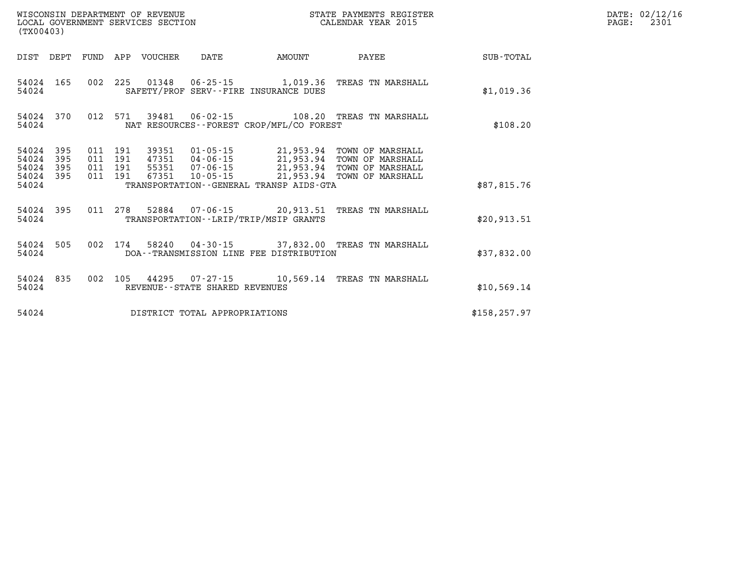| (TX00403)                                 |                          |                          |                          | WISCONSIN DEPARTMENT OF REVENUE<br>LOCAL GOVERNMENT SERVICES SECTION |                                |                                                                                                 | STATE PAYMENTS REGISTER<br>CALENDAR YEAR 2015                                                            |               |
|-------------------------------------------|--------------------------|--------------------------|--------------------------|----------------------------------------------------------------------|--------------------------------|-------------------------------------------------------------------------------------------------|----------------------------------------------------------------------------------------------------------|---------------|
| DIST                                      | DEPT                     | FUND                     | APP                      | VOUCHER                                                              | DATE                           | AMOUNT                                                                                          | PAYEE                                                                                                    | SUB-TOTAL     |
| 54024<br>54024                            | 165                      | 002                      | 225                      |                                                                      |                                | 01348  06-25-15  1,019.36<br>SAFETY/PROF SERV--FIRE INSURANCE DUES                              | TREAS TN MARSHALL                                                                                        | \$1,019.36    |
| 54024<br>54024                            | 370                      | 012                      | 571                      | 39481                                                                |                                | NAT RESOURCES - - FOREST CROP/MFL/CO FOREST                                                     | 06-02-15 108.20 TREAS TN MARSHALL                                                                        | \$108.20      |
| 54024<br>54024<br>54024<br>54024<br>54024 | 395<br>395<br>395<br>395 | 011<br>011<br>011<br>011 | 191<br>191<br>191<br>191 | 55351 07-06-15<br>67351                                              | $10 - 05 - 15$                 | 47351  04-06-15  21,953.94<br>21,953.94<br>21,953.94<br>TRANSPORTATION--GENERAL TRANSP AIDS-GTA | 39351  01-05-15  21,953.94  TOWN OF MARSHALL<br>TOWN OF MARSHALL<br>TOWN OF MARSHALL<br>TOWN OF MARSHALL | \$87,815.76   |
| 54024<br>54024                            | 395                      | 011                      | 278                      |                                                                      |                                | TRANSPORTATION - - LRIP/TRIP/MSIP GRANTS                                                        | 52884 07-06-15 20,913.51 TREAS TN MARSHALL                                                               | \$20,913.51   |
| 54024<br>54024                            | 505                      | 002                      | 174                      |                                                                      |                                | DOA--TRANSMISSION LINE FEE DISTRIBUTION                                                         | 58240  04-30-15  37,832.00  TREAS TN MARSHALL                                                            | \$37,832.00   |
| 54024<br>54024                            | 835                      | 002                      | 105                      |                                                                      | REVENUE--STATE SHARED REVENUES |                                                                                                 | 44295 07-27-15 10,569.14 TREAS TN MARSHALL                                                               | \$10,569.14   |
| 54024                                     |                          |                          |                          |                                                                      | DISTRICT TOTAL APPROPRIATIONS  |                                                                                                 |                                                                                                          | \$158, 257.97 |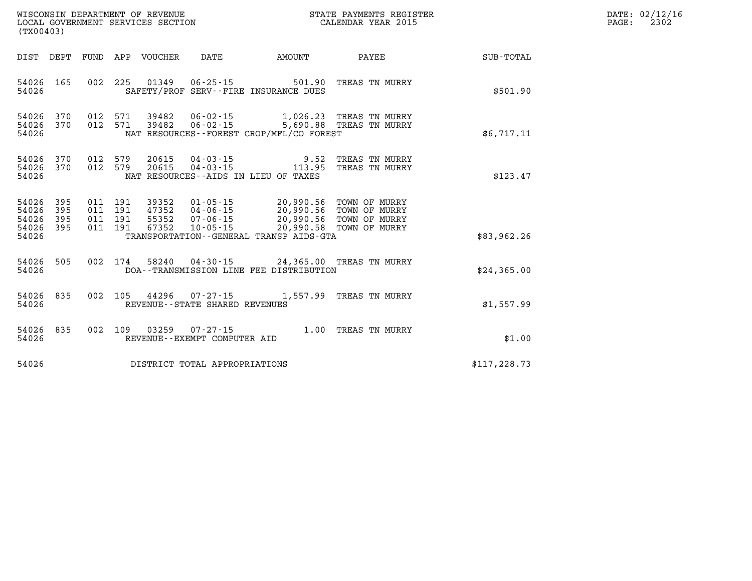| (TX00403)                                 |                          |         |         |                                 |                                   |                                                                                                                                                                                                                                            |              | DATE: 02/12/16<br>PAGE: 2302 |
|-------------------------------------------|--------------------------|---------|---------|---------------------------------|-----------------------------------|--------------------------------------------------------------------------------------------------------------------------------------------------------------------------------------------------------------------------------------------|--------------|------------------------------|
|                                           |                          |         |         | DIST DEPT FUND APP VOUCHER DATE |                                   | AMOUNT PAYEE                                                                                                                                                                                                                               | SUB-TOTAL    |                              |
| 54026 165<br>54026                        |                          |         |         |                                 |                                   | 002 225 01349 06-25-15 501.90 TREAS TN MURRY<br>SAFETY/PROF SERV--FIRE INSURANCE DUES                                                                                                                                                      | \$501.90     |                              |
| 54026                                     |                          |         |         |                                 |                                   | 54026    370     012    571      39482     06-02-15                1,026.23   TREAS  TN  MURRY<br>54026    370     012   571     39482     06-02-15                5,690.88   TREAS  TN  MURRY<br>NAT RESOURCES--FOREST CROP/MFL/CO FOREST | \$6,717.11   |                              |
| 54026<br>54026                            | 370                      | 012 579 |         |                                 |                                   | 54026 370 012 579 20615 04-03-15 9.52 TREAS TN MURRY<br>20615  04-03-15  113.95  TREAS TN MURRY<br>NAT RESOURCES -- AIDS IN LIEU OF TAXES                                                                                                  | \$123.47     |                              |
| 54026<br>54026<br>54026<br>54026<br>54026 | 395<br>395<br>395<br>395 |         | 011 191 |                                 |                                   | 011 191 39352 01-05-15 20,990.56 TOWN OF MURRY<br>011 191 47352 04-06-15 20,990.56 TOWN OF MURRY<br>011 191 55352 07-06-15 20,990.56 TOWN OF MURRY<br>67352  10-05-15  20,990.58  TOWN OF MURRY<br>TRANSPORTATION--GENERAL TRANSP AIDS-GTA | \$83,962.26  |                              |
| 54026 505<br>54026                        |                          |         |         |                                 |                                   | 002 174 58240 04-30-15 24,365.00 TREAS TN MURRY<br>DOA--TRANSMISSION LINE FEE DISTRIBUTION                                                                                                                                                 | \$24,365.00  |                              |
| 54026 835<br>54026                        |                          |         |         |                                 | REVENUE - - STATE SHARED REVENUES | 002 105 44296 07-27-15 1,557.99 TREAS TN MURRY                                                                                                                                                                                             | \$1,557.99   |                              |
| 54026 835<br>54026                        |                          |         |         |                                 | REVENUE--EXEMPT COMPUTER AID      | 002 109 03259 07-27-15 1.00 TREAS TN MURRY                                                                                                                                                                                                 | \$1.00       |                              |
| 54026                                     |                          |         |         |                                 | DISTRICT TOTAL APPROPRIATIONS     |                                                                                                                                                                                                                                            | \$117,228.73 |                              |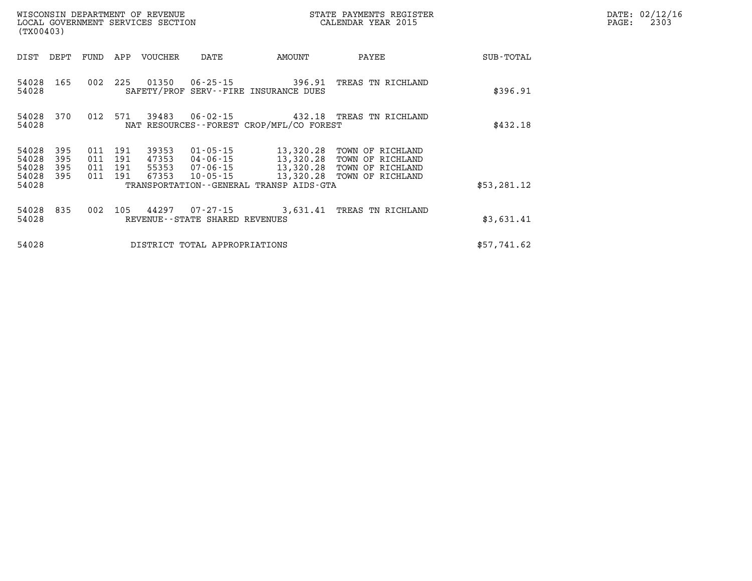|                                  | WISCONSIN DEPARTMENT OF REVENUE<br>LOCAL GOVERNMENT SERVICES SECTION<br>(TX00403) |                                  |            |                | STATE PAYMENTS REGISTER<br>CALENDAR YEAR 2015 |                                                                | DATE: 02/12/16<br>PAGE:<br>2303                                                                                                            |             |  |
|----------------------------------|-----------------------------------------------------------------------------------|----------------------------------|------------|----------------|-----------------------------------------------|----------------------------------------------------------------|--------------------------------------------------------------------------------------------------------------------------------------------|-------------|--|
| DIST                             | DEPT FUND                                                                         |                                  | APP        | VOUCHER        | DATE                                          | AMOUNT                                                         | PAYEE                                                                                                                                      | SUB-TOTAL   |  |
| 54028 165<br>54028               |                                                                                   | 002                              | 225        | 01350          |                                               | $06 - 25 - 15$ 396.91<br>SAFETY/PROF SERV--FIRE INSURANCE DUES | TREAS TN RICHLAND                                                                                                                          | \$396.91    |  |
| 54028 370<br>54028               |                                                                                   | 012 571                          |            | 39483          |                                               | NAT RESOURCES--FOREST CROP/MFL/CO FOREST                       | 06-02-15 432.18 TREAS TN RICHLAND                                                                                                          | \$432.18    |  |
| 54028<br>54028<br>54028<br>54028 | 395<br>395<br>395<br>395                                                          | 011<br>011 191<br>011 191<br>011 | 191<br>191 | 39353<br>67353 | 01-05-15<br>10-05-15                          | 13,320.28<br>13,320.28                                         | TOWN OF RICHLAND<br>47353   04-06-15   13,320.28   TOWN OF RICHLAND<br>55353   07-06-15   13,320.28   TOWN OF RICHLAND<br>TOWN OF RICHLAND |             |  |
| 54028                            |                                                                                   |                                  |            |                |                                               | TRANSPORTATION - - GENERAL TRANSP AIDS - GTA                   |                                                                                                                                            | \$53,281.12 |  |
| 54028 835<br>54028               |                                                                                   | 002                              | 105        | 44297          | REVENUE--STATE SHARED REVENUES                |                                                                | 07-27-15 3,631.41 TREAS TN RICHLAND                                                                                                        | \$3,631.41  |  |
| 54028                            |                                                                                   |                                  |            |                | DISTRICT TOTAL APPROPRIATIONS                 |                                                                |                                                                                                                                            | \$57,741.62 |  |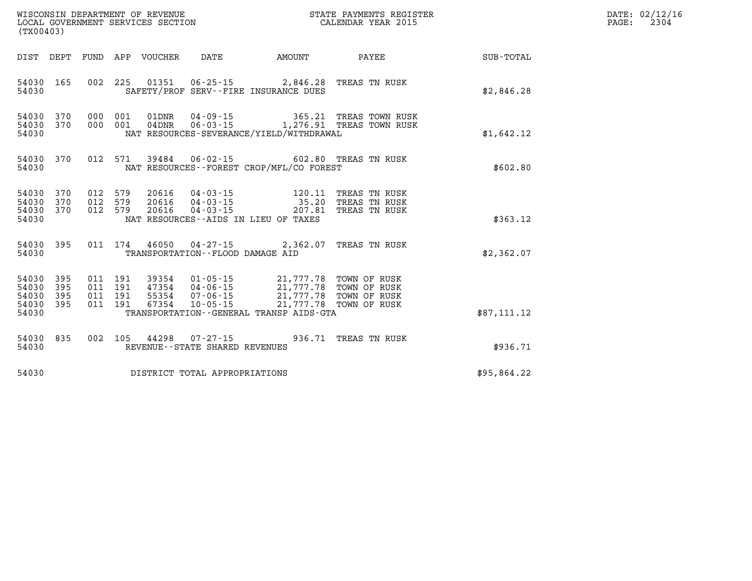| WISCONSIN DEPARTMENT OF REVENUE<br>LOCAL GOVERNMENT SERVICES SECTION<br>(TX00403) | STATE PAYMENTS REGISTER<br>CALENDAR YEAR 2015 | DATE: 02/12/16<br>2304<br>$\mathtt{PAGE:}$ |
|-----------------------------------------------------------------------------------|-----------------------------------------------|--------------------------------------------|
|                                                                                   |                                               |                                            |

| (TX00403)                                                             |                          |                                                                                                                                                                           |                                     |                                                                        |                  |
|-----------------------------------------------------------------------|--------------------------|---------------------------------------------------------------------------------------------------------------------------------------------------------------------------|-------------------------------------|------------------------------------------------------------------------|------------------|
| DEPT<br>DIST                                                          | <b>FUND</b>              | APP<br>VOUCHER<br>DATE                                                                                                                                                    | AMOUNT                              | PAYEE                                                                  | <b>SUB-TOTAL</b> |
| 54030<br>165<br>54030                                                 | 002                      | 225<br>01351<br>06-25-15 2,846.28 TREAS TN RUSK<br>SAFETY/PROF SERV--FIRE INSURANCE DUES                                                                                  |                                     |                                                                        | \$2,846.28       |
| 54030<br>370<br>370<br>54030<br>54030                                 | 000<br>000               | 001<br>01DNR<br>04-09-15<br>001<br>$04\,\mathrm{DNR}$<br>NAT RESOURCES-SEVERANCE/YIELD/WITHDRAWAL                                                                         | 365.21                              | TREAS TOWN RUSK<br>06-03-15 1,276.91 TREAS TOWN RUSK                   | \$1,642.12       |
| 54030<br>370<br>54030                                                 | 012                      | 571<br>39484  06-02-15  602.80  TREAS  TN RUSK<br>NAT RESOURCES - - FOREST CROP/MFL/CO FOREST                                                                             |                                     |                                                                        | \$602.80         |
| 54030<br>370<br>54030<br>370<br>54030<br>370<br>54030                 | 012<br>012<br>012        | 579<br>20616<br>$04 - 03 - 15$ 120.11<br>579<br>$04 - 03 - 15$ 35.20<br>20616<br>579<br>20616<br>$04 - 03 - 15$<br>NAT RESOURCES -- AIDS IN LIEU OF TAXES                 | 207.81                              | TREAS TN RUSK<br>TREAS TN RUSK<br>TREAS TN RUSK                        | \$363.12         |
| 395<br>54030<br>54030                                                 | 011                      | 174<br>46050 04-27-15 2,362.07<br>TRANSPORTATION -- FLOOD DAMAGE AID                                                                                                      |                                     | TREAS TN RUSK                                                          | \$2,362.07       |
| 54030<br>395<br>54030<br>395<br>54030<br>395<br>395<br>54030<br>54030 | 011<br>011<br>011<br>011 | 191<br>39354<br>$01 - 05 - 15$<br>191<br>47354<br>04-06-15<br>191<br>55354<br>$07 - 06 - 15$<br>191<br>67354<br>$10 - 05 - 15$<br>TRANSPORTATION--GENERAL TRANSP AIDS-GTA | 21,777.78<br>21,777.78<br>21,777.78 | 21,777.78 TOWN OF RUSK<br>TOWN OF RUSK<br>TOWN OF RUSK<br>TOWN OF RUSK | \$87,111.12      |
| 835<br>54030<br>54030                                                 | 002                      | 105<br>44298<br>$07 - 27 - 15$<br>REVENUE - - STATE SHARED REVENUES                                                                                                       | 936.71                              | TREAS TN RUSK                                                          | \$936.71         |
| 54030                                                                 |                          | DISTRICT TOTAL APPROPRIATIONS                                                                                                                                             |                                     |                                                                        | \$95,864.22      |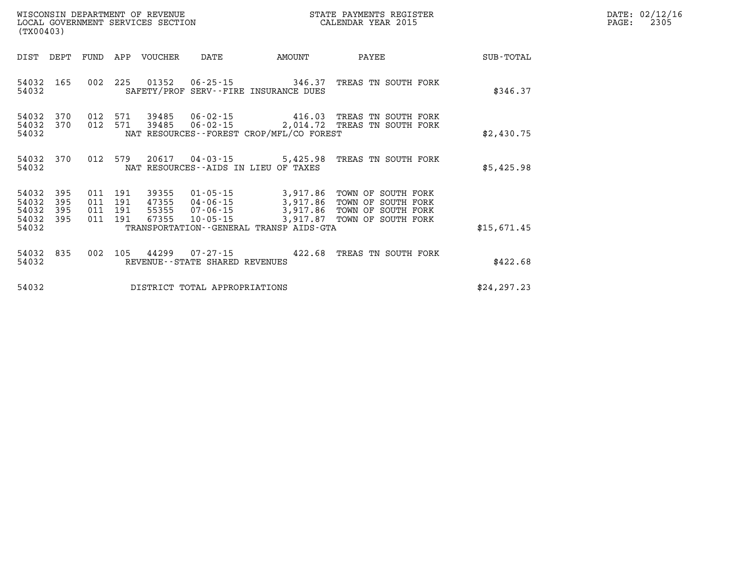| WISCONSIN DEPARTMENT OF REVENUE   | STATE PAYMENTS REGISTER | DATE: | 02/12/16 |
|-----------------------------------|-------------------------|-------|----------|
| LOCAL GOVERNMENT SERVICES SECTION | CALENDAR YEAR 2015      | PAGE  | 2305     |

|                  |                                                                                               |                                                                                         |                                                                |                                  |                          |                          |                          | (TX00403)                                 |
|------------------|-----------------------------------------------------------------------------------------------|-----------------------------------------------------------------------------------------|----------------------------------------------------------------|----------------------------------|--------------------------|--------------------------|--------------------------|-------------------------------------------|
| <b>SUB-TOTAL</b> | PAYEE                                                                                         | AMOUNT                                                                                  | DATE                                                           | <b>VOUCHER</b>                   | APP                      | FUND                     | DEPT                     | DIST                                      |
| \$346.37         | TREAS TN SOUTH FORK                                                                           | 346.37<br>SAFETY/PROF SERV--FIRE INSURANCE DUES                                         | $06 - 25 - 15$                                                 | 01352                            | 225                      | 002                      | 165                      | 54032<br>54032                            |
| \$2,430.75       | TN SOUTH FORK<br>TREAS<br>TREAS<br>TN SOUTH FORK                                              | 416.03<br>2,014.72<br>NAT RESOURCES--FOREST CROP/MFL/CO FOREST                          | 06-02-15<br>$06 - 02 - 15$                                     | 39485<br>39485                   | 571<br>571               | 012<br>012               | 370<br>370               | 54032<br>54032<br>54032                   |
| \$5,425.98       | TREAS TN SOUTH FORK                                                                           | 5,425.98<br>NAT RESOURCES -- AIDS IN LIEU OF TAXES                                      | $04 - 03 - 15$                                                 | 20617                            | 579                      | 012                      | 370                      | 54032<br>54032                            |
| \$15,671.45      | TOWN OF<br>SOUTH FORK<br>TOWN OF<br>SOUTH FORK<br>TOWN OF<br>SOUTH FORK<br>TOWN OF SOUTH FORK | 3,917.86<br>3,917.86<br>3,917.86<br>3,917.87<br>TRANSPORTATION--GENERAL TRANSP AIDS-GTA | $01 - 05 - 15$<br>04-06-15<br>$07 - 06 - 15$<br>$10 - 05 - 15$ | 39355<br>47355<br>55355<br>67355 | 191<br>191<br>191<br>191 | 011<br>011<br>011<br>011 | 395<br>395<br>395<br>395 | 54032<br>54032<br>54032<br>54032<br>54032 |
| \$422.68         | TREAS<br>TN SOUTH FORK                                                                        | 422.68                                                                                  | $07 - 27 - 15$<br>REVENUE--STATE SHARED REVENUES               | 44299                            | 105                      | 002                      | 835                      | 54032<br>54032                            |
| \$24, 297.23     |                                                                                               |                                                                                         | DISTRICT TOTAL APPROPRIATIONS                                  |                                  |                          |                          |                          | 54032                                     |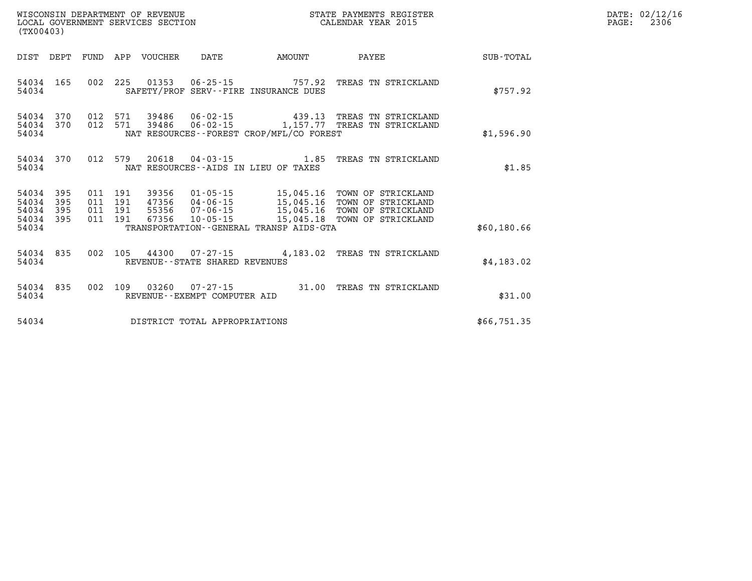| DATE: | 02/12/16 |
|-------|----------|
| PAGE: | 2306     |

| (TX00403)                                                             |                          |                                                              |                                                                      |                                                                                             |                                                                                            |             |
|-----------------------------------------------------------------------|--------------------------|--------------------------------------------------------------|----------------------------------------------------------------------|---------------------------------------------------------------------------------------------|--------------------------------------------------------------------------------------------|-------------|
| DIST<br>DEPT                                                          | FUND                     | APP<br><b>VOUCHER</b>                                        | DATE                                                                 | AMOUNT                                                                                      | PAYEE                                                                                      | SUB-TOTAL   |
| 54034<br>165<br>54034                                                 | 002                      | 225<br>01353                                                 | $06 - 25 - 15$                                                       | 757.92<br>SAFETY/PROF SERV--FIRE INSURANCE DUES                                             | TREAS TN STRICKLAND                                                                        | \$757.92    |
| 54034<br>370<br>54034<br>370<br>54034                                 | 012<br>012               | 571<br>39486<br>571<br>39486                                 | 06-02-15<br>$06 - 02 - 15$                                           | 439.13<br>1,157.77<br>NAT RESOURCES--FOREST CROP/MFL/CO FOREST                              | TREAS TN STRICKLAND<br>TN STRICKLAND<br>TREAS                                              | \$1,596.90  |
| 370<br>54034<br>54034                                                 | 012                      | 579<br>20618                                                 | $04 - 03 - 15$                                                       | 1.85<br>NAT RESOURCES -- AIDS IN LIEU OF TAXES                                              | TREAS TN STRICKLAND                                                                        | \$1.85      |
| 395<br>54034<br>54034<br>395<br>54034<br>395<br>54034<br>395<br>54034 | 011<br>011<br>011<br>011 | 191<br>39356<br>191<br>47356<br>191<br>55356<br>191<br>67356 | $01 - 05 - 15$<br>$04 - 06 - 15$<br>$07 - 06 - 15$<br>$10 - 05 - 15$ | 15,045.16<br>15,045.16<br>15,045.16<br>15,045.18<br>TRANSPORTATION--GENERAL TRANSP AIDS-GTA | TOWN OF<br>STRICKLAND<br>TOWN OF<br>STRICKLAND<br>TOWN OF STRICKLAND<br>TOWN OF STRICKLAND | \$60,180.66 |
| 54034<br>835<br>54034                                                 | 002                      | 105<br>44300                                                 | $07 - 27 - 15$<br>REVENUE - - STATE SHARED REVENUES                  | 4,183.02                                                                                    | TREAS TN STRICKLAND                                                                        | \$4,183.02  |
| 54034<br>835<br>54034                                                 | 002                      | 109<br>03260                                                 | $07 - 27 - 15$<br>REVENUE--EXEMPT COMPUTER AID                       | 31.00                                                                                       | TREAS<br>TN STRICKLAND                                                                     | \$31.00     |
| 54034                                                                 |                          |                                                              | DISTRICT TOTAL APPROPRIATIONS                                        |                                                                                             |                                                                                            | \$66,751.35 |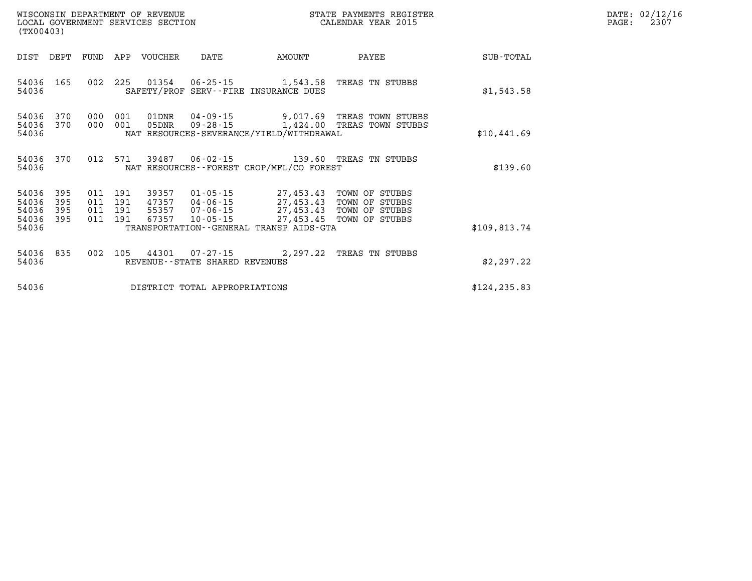| WISCONSIN DEPARTMENT OF REVENUE   | STATE PAYMENTS REGISTER | DATE: 02/12/16 |
|-----------------------------------|-------------------------|----------------|
| LOCAL GOVERNMENT SERVICES SECTION | CALENDAR YEAR 2015      | 2307<br>PAGE:  |

|                                               | LOCAL GOVERNMENT SERVICES SECTION<br>(TX00403) |  |         |                  |                                   |                                          | CALENDAR YEAR 2015                                                                                                                                                                |               | PAGE: | 2307 |
|-----------------------------------------------|------------------------------------------------|--|---------|------------------|-----------------------------------|------------------------------------------|-----------------------------------------------------------------------------------------------------------------------------------------------------------------------------------|---------------|-------|------|
| DIST DEPT                                     |                                                |  |         | FUND APP VOUCHER | DATE                              | AMOUNT                                   | PAYEE                                                                                                                                                                             | SUB-TOTAL     |       |      |
| 54036 165<br>54036                            |                                                |  |         |                  |                                   | SAFETY/PROF SERV--FIRE INSURANCE DUES    | 002 225 01354 06-25-15 1,543.58 TREAS TN STUBBS                                                                                                                                   | \$1,543.58    |       |      |
| 54036<br>54036<br>54036                       | 370<br>370                                     |  |         | 000 001 05DNR    |                                   | NAT RESOURCES-SEVERANCE/YIELD/WITHDRAWAL | 000 001 01DNR 04-09-15 9,017.69 TREAS TOWN STUBBS<br>09-28-15 1,424.00 TREAS TOWN STUBBS                                                                                          | \$10,441.69   |       |      |
| 54036 370<br>54036                            |                                                |  |         |                  |                                   | NAT RESOURCES--FOREST CROP/MFL/CO FOREST | 012 571 39487 06-02-15 139.60 TREAS TN STUBBS                                                                                                                                     | \$139.60      |       |      |
| 54036<br>54036<br>54036<br>54036 395<br>54036 | 395<br>395<br>395                              |  | 011 191 | 67357            | $10 - 05 - 15$                    | TRANSPORTATION--GENERAL TRANSP AIDS-GTA  | 011 191 39357 01-05-15 27,453.43 TOWN OF STUBBS<br>011 191 47357 04-06-15 27,453.43 TOWN OF STUBBS<br>011 191 55357 07-06-15 27,453.43 TOWN OF STUBBS<br>27,453.45 TOWN OF STUBBS | \$109,813.74  |       |      |
| 54036<br>54036                                | 835                                            |  |         |                  | REVENUE - - STATE SHARED REVENUES |                                          | 002 105 44301 07-27-15 2,297.22 TREAS TN STUBBS                                                                                                                                   | \$2,297.22    |       |      |
| 54036                                         |                                                |  |         |                  | DISTRICT TOTAL APPROPRIATIONS     |                                          |                                                                                                                                                                                   | \$124, 235.83 |       |      |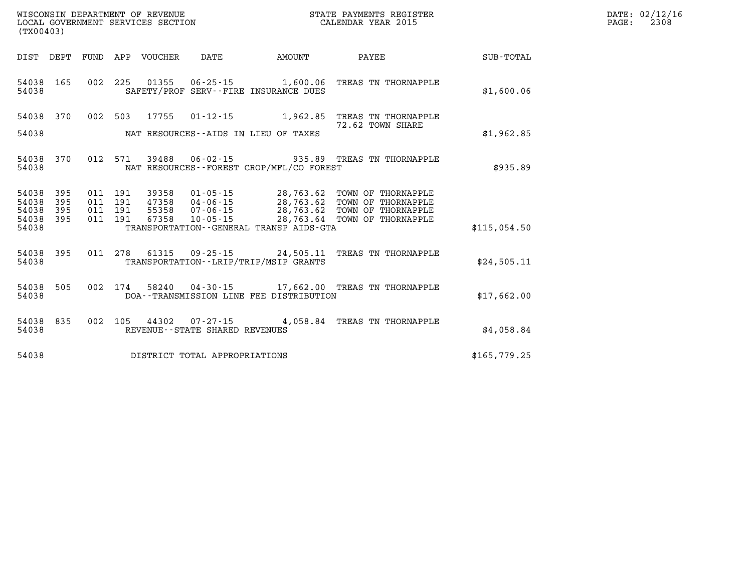| WISCONSIN DEPARTMENT OF REVENUE      | REGISTER<br>PAYMENTS<br>STATE | DATE: | 02/12/16 |
|--------------------------------------|-------------------------------|-------|----------|
| GOVERNMENT SERVICES SECTION<br>LOCAL | CALENDAR YEAR 2015            | PAGE: | 2308     |

| (TX00403)                                 |                                                      |                                                              |                                                                                                           |                                                  |                                                                                      |              |
|-------------------------------------------|------------------------------------------------------|--------------------------------------------------------------|-----------------------------------------------------------------------------------------------------------|--------------------------------------------------|--------------------------------------------------------------------------------------|--------------|
| DIST                                      | DEPT<br>FUND                                         | APP<br><b>VOUCHER</b>                                        | DATE                                                                                                      | <b>AMOUNT</b>                                    | PAYEE                                                                                | SUB-TOTAL    |
| 54038<br>54038                            | 165<br>002                                           | 225<br>01355                                                 | $06 - 25 - 15$ 1,600.06<br>SAFETY/PROF SERV--FIRE INSURANCE DUES                                          |                                                  | TREAS TN THORNAPPLE                                                                  | \$1,600.06   |
| 54038                                     | 370<br>002                                           | 503<br>17755                                                 | $01 - 12 - 15$                                                                                            | 1,962.85                                         | TREAS TN THORNAPPLE                                                                  |              |
| 54038                                     |                                                      |                                                              | NAT RESOURCES--AIDS IN LIEU OF TAXES                                                                      |                                                  | 72.62 TOWN SHARE                                                                     | \$1,962.85   |
| 54038<br>54038                            | 012<br>370                                           | 571<br>39488                                                 | 06-02-15<br>NAT RESOURCES - - FOREST CROP/MFL/CO FOREST                                                   |                                                  | 935.89 TREAS TN THORNAPPLE                                                           | \$935.89     |
| 54038<br>54038<br>54038<br>54038<br>54038 | 395<br>011<br>395<br>011<br>395<br>011<br>395<br>011 | 191<br>39358<br>47358<br>191<br>191<br>55358<br>67358<br>191 | 01-05-15<br>$04 - 06 - 15$<br>$07 - 06 - 15$<br>$10 - 05 - 15$<br>TRANSPORTATION--GENERAL TRANSP AIDS-GTA | 28,763.62<br>28,763.62<br>28,763.62<br>28,763.64 | TOWN OF THORNAPPLE<br>TOWN OF THORNAPPLE<br>TOWN OF THORNAPPLE<br>TOWN OF THORNAPPLE | \$115,054.50 |
| 54038<br>54038                            | 395<br>011                                           | 278<br>61315                                                 | $09 - 25 - 15$ 24,505.11<br>TRANSPORTATION--LRIP/TRIP/MSIP GRANTS                                         |                                                  | TREAS TN THORNAPPLE                                                                  | \$24,505.11  |
| 54038<br>54038                            | 505<br>002                                           | 174<br>58240                                                 | $04 - 30 - 15$<br>DOA--TRANSMISSION LINE FEE DISTRIBUTION                                                 | 17,662.00                                        | TREAS TN THORNAPPLE                                                                  | \$17,662.00  |
| 54038<br>54038                            | 835<br>002                                           | 105<br>44302                                                 | 07-27-15<br>REVENUE - - STATE SHARED REVENUES                                                             | 4,058.84                                         | TREAS TN THORNAPPLE                                                                  | \$4,058.84   |
| 54038                                     |                                                      |                                                              | DISTRICT TOTAL APPROPRIATIONS                                                                             |                                                  |                                                                                      | \$165,779.25 |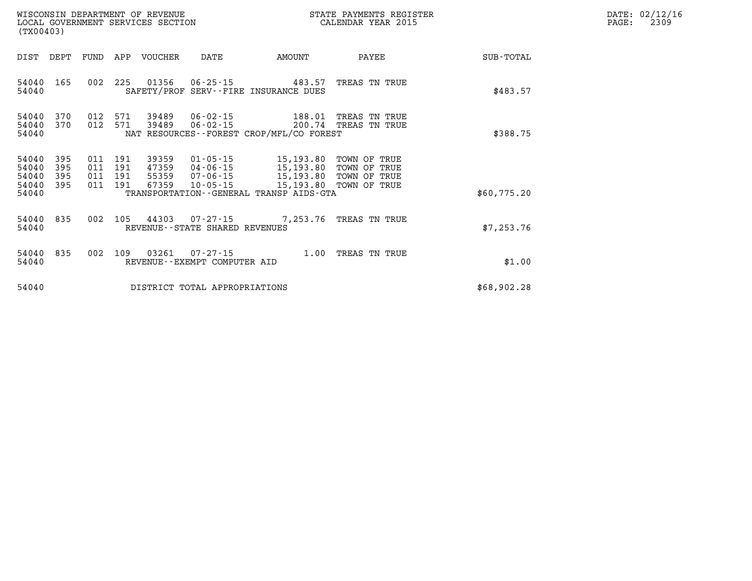| DATE: | 02/12/16 |
|-------|----------|
| PAGE: | 2309     |

| (TX00403)                                 |                          |                          |                          | WISCONSIN DEPARTMENT OF REVENUE<br>LOCAL GOVERNMENT SERVICES SECTION |                                                          |                                                                                             | STATE PAYMENTS REGISTER<br>CALENDAR YEAR 2015                |             |
|-------------------------------------------|--------------------------|--------------------------|--------------------------|----------------------------------------------------------------------|----------------------------------------------------------|---------------------------------------------------------------------------------------------|--------------------------------------------------------------|-------------|
| <b>DIST</b>                               | DEPT                     | FUND                     | APP                      | <b>VOUCHER</b>                                                       | DATE                                                     | AMOUNT                                                                                      | PAYEE                                                        | SUB-TOTAL   |
| 54040<br>54040                            | 165                      | 002                      | 225                      | 01356                                                                | $06 - 25 - 15$                                           | 483.57<br>SAFETY/PROF SERV--FIRE INSURANCE DUES                                             | TREAS TN TRUE                                                | \$483.57    |
| 54040<br>54040<br>54040                   | 370<br>370               | 012<br>012               | 571<br>571               | 39489<br>39489                                                       | 06-02-15<br>$06 - 02 - 15$                               | 188.01<br>200.74<br>NAT RESOURCES--FOREST CROP/MFL/CO FOREST                                | TREAS<br>TN TRUE<br>TREAS TN TRUE                            | \$388.75    |
| 54040<br>54040<br>54040<br>54040<br>54040 | 395<br>395<br>395<br>395 | 011<br>011<br>011<br>011 | 191<br>191<br>191<br>191 | 39359<br>47359<br>55359<br>67359                                     | $01 - 05 - 15$<br>04-06-15<br>07-06-15<br>$10 - 05 - 15$ | 15,193.80<br>15,193.80<br>15,193.80<br>15,193.80<br>TRANSPORTATION--GENERAL TRANSP AIDS-GTA | TOWN OF TRUE<br>TOWN OF TRUE<br>TOWN OF TRUE<br>TOWN OF TRUE | \$60,775.20 |
| 54040<br>54040                            | 835                      | 002                      | 105                      | 44303                                                                | REVENUE--STATE SHARED REVENUES                           | $07 - 27 - 15$ 7, 253.76                                                                    | TREAS TN TRUE                                                | \$7,253.76  |
| 54040<br>54040                            | 835                      | 002                      | 109                      | 03261                                                                | $07 - 27 - 15$<br>REVENUE - - EXEMPT COMPUTER AID        | 1.00                                                                                        | TREAS TN TRUE                                                | \$1.00      |
| 54040                                     |                          |                          |                          |                                                                      | DISTRICT TOTAL APPROPRIATIONS                            |                                                                                             |                                                              | \$68,902.28 |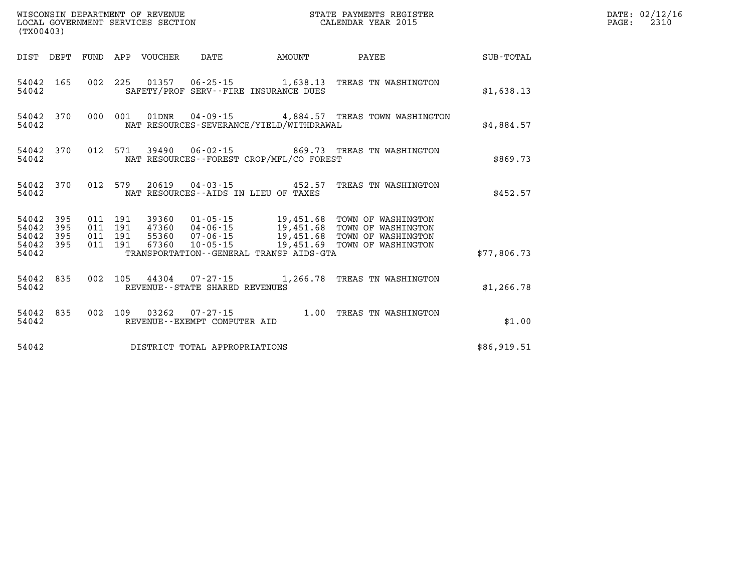| (TX00403)                                 |                          |                          |                          | WISCONSIN DEPARTMENT OF REVENUE<br>LOCAL GOVERNMENT SERVICES SECTION | STATE PAYMENTS REGISTER<br>CALENDAR YEAR 2015                        |                                                                                             |                                                                                      |             |  |
|-------------------------------------------|--------------------------|--------------------------|--------------------------|----------------------------------------------------------------------|----------------------------------------------------------------------|---------------------------------------------------------------------------------------------|--------------------------------------------------------------------------------------|-------------|--|
| DIST                                      | DEPT                     | FUND                     | APP                      | VOUCHER                                                              | DATE                                                                 | AMOUNT                                                                                      | PAYEE                                                                                | SUB-TOTAL   |  |
| 54042<br>54042                            | 165                      | 002                      | 225                      |                                                                      |                                                                      | $01357$ $06-25-15$ 1,638.13<br>SAFETY/PROF SERV--FIRE INSURANCE DUES                        | TREAS TN WASHINGTON                                                                  | \$1,638.13  |  |
| 54042<br>54042                            | 370                      | 000                      | 001                      | 01DNR                                                                |                                                                      | NAT RESOURCES-SEVERANCE/YIELD/WITHDRAWAL                                                    | 04-09-15 4,884.57 TREAS TOWN WASHINGTON                                              | \$4,884.57  |  |
| 54042<br>54042                            | 370                      | 012                      | 571                      |                                                                      |                                                                      | NAT RESOURCES -- FOREST CROP/MFL/CO FOREST                                                  | 39490  06-02-15  869.73  TREAS TN WASHINGTON                                         | \$869.73    |  |
| 54042<br>54042                            | 370                      | 012                      | 579                      |                                                                      |                                                                      | 20619 04-03-15 452.57<br>NAT RESOURCES -- AIDS IN LIEU OF TAXES                             | TREAS TN WASHINGTON                                                                  | \$452.57    |  |
| 54042<br>54042<br>54042<br>54042<br>54042 | 395<br>395<br>395<br>395 | 011<br>011<br>011<br>011 | 191<br>191<br>191<br>191 | 39360<br>47360<br>55360<br>67360                                     | $01 - 05 - 15$<br>$04 - 06 - 15$<br>$07 - 06 - 15$<br>$10 - 05 - 15$ | 19,451.68<br>19,451.68<br>19,451.68<br>19,451.69<br>TRANSPORTATION--GENERAL TRANSP AIDS-GTA | TOWN OF WASHINGTON<br>TOWN OF WASHINGTON<br>TOWN OF WASHINGTON<br>TOWN OF WASHINGTON | \$77,806.73 |  |
| 54042<br>54042                            | 835                      | 002                      | 105                      | 44304                                                                | 07-27-15<br>REVENUE - - STATE SHARED REVENUES                        | 1,266.78                                                                                    | TREAS TN WASHINGTON                                                                  | \$1,266.78  |  |
| 54042<br>54042                            | 835                      | 002                      | 109                      | 03262                                                                | $07 - 27 - 15$<br>REVENUE - - EXEMPT COMPUTER AID                    | 1.00                                                                                        | TREAS TN WASHINGTON                                                                  | \$1.00      |  |
| 54042                                     |                          |                          |                          |                                                                      | DISTRICT TOTAL APPROPRIATIONS                                        |                                                                                             |                                                                                      | \$86,919.51 |  |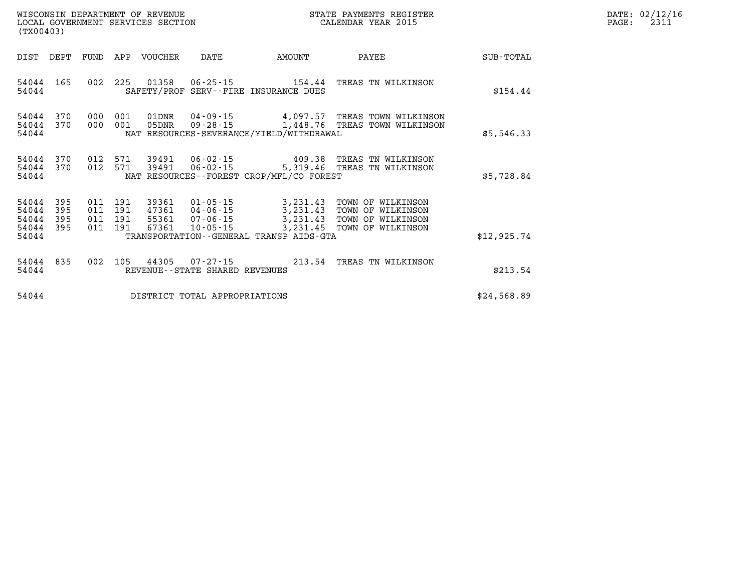| (TX00403)                       |      |                |            | WISCONSIN DEPARTMENT OF REVENUE<br>LOCAL GOVERNMENT SERVICES SECTION |          |                                                                       | STATE PAYMENTS REGISTER<br>CALENDAR YEAR 2015                                                                                                                                                                                  |            | PAGE: | DATE: 02/12/16<br>2311 |
|---------------------------------|------|----------------|------------|----------------------------------------------------------------------|----------|-----------------------------------------------------------------------|--------------------------------------------------------------------------------------------------------------------------------------------------------------------------------------------------------------------------------|------------|-------|------------------------|
| DIST                            | DEPT | FUND           | APP        | VOUCHER                                                              | DATE     | AMOUNT                                                                | PAYEE                                                                                                                                                                                                                          | SUB-TOTAL  |       |                        |
| 54044 165<br>54044              |      | 002            | 225        |                                                                      |          | 01358    06-25-15    154.44<br>SAFETY/PROF SERV--FIRE INSURANCE DUES  | TREAS TN WILKINSON                                                                                                                                                                                                             | \$154.44   |       |                        |
| 54044 370<br>54044 370<br>54044 |      | 000<br>000 001 | 001        | 01DNR<br>05DNR                                                       |          | $04 - 09 - 15$ $4,097,57$<br>NAT RESOURCES-SEVERANCE/YIELD/WITHDRAWAL | TREAS TOWN WILKINSON<br>09-28-15 1,448.76 TREAS TOWN WILKINSON                                                                                                                                                                 | \$5,546.33 |       |                        |
| 54044 370<br>54044 370<br>54044 |      | 012<br>012     | 571<br>571 | 39491<br>39491                                                       | 06-02-15 | $06 - 02 - 15$ 409.38<br>NAT RESOURCES--FOREST CROP/MFL/CO FOREST     | TREAS TN WILKINSON<br>5,319.46 TREAS TN WILKINSON                                                                                                                                                                              | \$5,728.84 |       |                        |
|                                 |      |                |            |                                                                      |          |                                                                       | $2.21$ $12.5$ $5.5$ $5.5$ $5.5$ $5.5$ $5.5$ $5.5$ $5.5$ $5.5$ $5.5$ $5.5$ $5.5$ $5.5$ $5.5$ $5.5$ $5.5$ $5.5$ $5.5$ $5.5$ $5.5$ $5.5$ $5.5$ $5.5$ $5.5$ $5.5$ $5.5$ $5.5$ $5.5$ $5.5$ $5.5$ $5.5$ $5.5$ $5.5$ $5.5$ $5.5$ $5.$ |            |       |                        |

| 54044 395 011 191 |         | 39361 | 01-05-15       |                                         |  | 3,231.43 TOWN OF WILKINSON |             |
|-------------------|---------|-------|----------------|-----------------------------------------|--|----------------------------|-------------|
| 54044 395         | 011 191 | 47361 | 04 - 06 - 15   |                                         |  | 3,231.43 TOWN OF WILKINSON |             |
| 54044 395         | 011 191 | 55361 | 07 - 06 - 15   | 3,231.43 TOWN OF WILKINSON              |  |                            |             |
| 54044 395         | 011 191 |       | 67361 10-05-15 | 3,231.45 TOWN OF WILKINSON              |  |                            |             |
| 54044             |         |       |                | TRANSPORTATION--GENERAL TRANSP AIDS-GTA |  |                            | \$12,925.74 |

|       |  |  | 54044 835 002 105 44305 07-27-15 |  | 213.54 TREAS TN WILKINSON |          |
|-------|--|--|----------------------------------|--|---------------------------|----------|
| 54044 |  |  | REVENUE--STATE SHARED REVENUES   |  |                           | \$213.54 |

**54044 DISTRICT TOTAL APPROPRIATIONS \$24,568.89**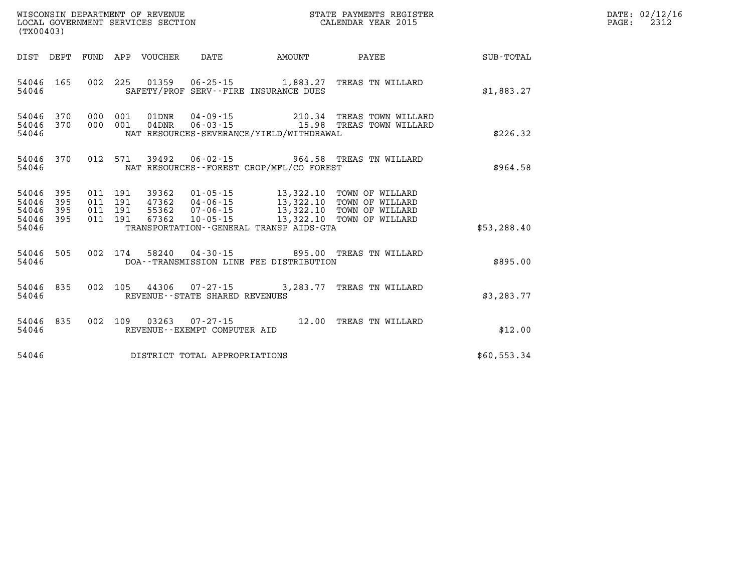| (TX00403) |                                                  |  |  |  |                                |                                          | STATE PAYMENTS REGISTER                                                                                                                                                                                      |              | DATE: 02/12/16<br>2312<br>$\mathtt{PAGE:}$ |
|-----------|--------------------------------------------------|--|--|--|--------------------------------|------------------------------------------|--------------------------------------------------------------------------------------------------------------------------------------------------------------------------------------------------------------|--------------|--------------------------------------------|
|           |                                                  |  |  |  |                                |                                          |                                                                                                                                                                                                              | SUB-TOTAL    |                                            |
| 54046     | 54046 165                                        |  |  |  |                                | SAFETY/PROF SERV--FIRE INSURANCE DUES    | 002  225  01359  06-25-15  1,883.27  TREAS TN WILLARD                                                                                                                                                        | \$1,883.27   |                                            |
| 54046     | 54046 370<br>54046 370                           |  |  |  |                                | NAT RESOURCES-SEVERANCE/YIELD/WITHDRAWAL | 000 001 01DNR 04-09-15 210.34 TREAS TOWN WILLARD<br>000 001 04DNR 06-03-15 15.98 TREAS TOWN WILLARD                                                                                                          | \$226.32     |                                            |
| 54046     | 54046 370                                        |  |  |  |                                | NAT RESOURCES--FOREST CROP/MFL/CO FOREST | 012 571 39492 06-02-15 964.58 TREAS TN WILLARD                                                                                                                                                               | \$964.58     |                                            |
|           | 54046 395<br>54046 395<br>54046 395<br>54046 395 |  |  |  |                                |                                          | 011 191 39362 01-05-15 13,322.10 TOWN OF WILLARD<br>011 191 47362 04-06-15 13,322.10 TOWN OF WILLARD<br>011 191 55362 07-06-15 13,322.10 TOWN OF WILLARD<br>011 191 67362 10-05-15 13,322.10 TOWN OF WILLARD |              |                                            |
| 54046     |                                                  |  |  |  |                                | TRANSPORTATION--GENERAL TRANSP AIDS-GTA  |                                                                                                                                                                                                              | \$53, 288.40 |                                            |
| 54046     | 54046 505                                        |  |  |  |                                | DOA--TRANSMISSION LINE FEE DISTRIBUTION  | 002 174 58240 04-30-15 895.00 TREAS TN WILLARD                                                                                                                                                               | \$895.00     |                                            |
| 54046     | 54046 835                                        |  |  |  | REVENUE--STATE SHARED REVENUES |                                          | 002 105 44306 07-27-15 3,283.77 TREAS TN WILLARD                                                                                                                                                             | \$3,283.77   |                                            |
| 54046     | 54046 835                                        |  |  |  | REVENUE--EXEMPT COMPUTER AID   |                                          | 002 109 03263 07-27-15 12.00 TREAS TN WILLARD                                                                                                                                                                | \$12.00      |                                            |
| 54046     |                                                  |  |  |  | DISTRICT TOTAL APPROPRIATIONS  |                                          |                                                                                                                                                                                                              | \$60,553.34  |                                            |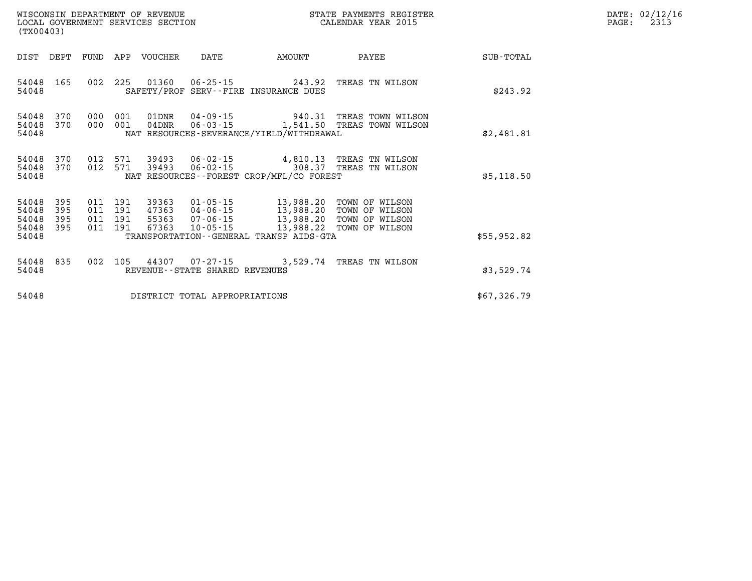| DATE: | 02/12/16 |
|-------|----------|
| PAGE: | 2313     |

| (TX00403)                                 |                          |                          |                          | WISCONSIN DEPARTMENT OF REVENUE<br>LOCAL GOVERNMENT SERVICES SECTION |                                                                | STATE PAYMENTS REGISTER<br>CALENDAR YEAR 2015                                                |                                                                      |             |  |  |
|-------------------------------------------|--------------------------|--------------------------|--------------------------|----------------------------------------------------------------------|----------------------------------------------------------------|----------------------------------------------------------------------------------------------|----------------------------------------------------------------------|-------------|--|--|
| DIST                                      | DEPT                     | FUND                     | APP                      | VOUCHER                                                              | DATE                                                           | AMOUNT                                                                                       | PAYEE                                                                | SUB-TOTAL   |  |  |
| 54048<br>54048                            | 165                      | 002                      | 225                      | 01360                                                                | $06 - 25 - 15$                                                 | 243.92<br>SAFETY/PROF SERV--FIRE INSURANCE DUES                                              | TREAS TN WILSON                                                      | \$243.92    |  |  |
| 54048<br>54048<br>54048                   | 370<br>370               | 000<br>000               | 001<br>001               | 01DNR<br>$04$ DNR                                                    |                                                                | $04 - 09 - 15$ 940.31<br>$06 - 03 - 15$ 1,541.50<br>NAT RESOURCES-SEVERANCE/YIELD/WITHDRAWAL | TREAS TOWN WILSON<br>TREAS TOWN WILSON                               | \$2,481.81  |  |  |
| 54048<br>54048<br>54048                   | 370<br>370               | 012<br>012               | 571<br>571               | 39493                                                                | 39493 06-02-15<br>$06 - 02 - 15$                               | 308.37<br>NAT RESOURCES - - FOREST CROP/MFL/CO FOREST                                        | 4,810.13 TREAS TN WILSON<br>TREAS TN WILSON                          | \$5,118.50  |  |  |
| 54048<br>54048<br>54048<br>54048<br>54048 | 395<br>395<br>395<br>395 | 011<br>011<br>011<br>011 | 191<br>191<br>191<br>191 | 39363<br>47363<br>55363<br>67363                                     | $01 - 05 - 15$<br>04-06-15<br>$07 - 06 - 15$<br>$10 - 05 - 15$ | 13,988.20<br>13,988.20<br>13,988.20<br>13,988.22<br>TRANSPORTATION--GENERAL TRANSP AIDS-GTA  | TOWN OF WILSON<br>TOWN OF WILSON<br>TOWN OF WILSON<br>TOWN OF WILSON | \$55,952.82 |  |  |
| 54048<br>54048                            | 835                      | 002                      | 105                      | 44307                                                                | REVENUE--STATE SHARED REVENUES                                 | $07 - 27 - 15$ 3,529.74                                                                      | TREAS TN WILSON                                                      | \$3,529.74  |  |  |
| 54048                                     |                          |                          |                          |                                                                      | DISTRICT TOTAL APPROPRIATIONS                                  |                                                                                              |                                                                      | \$67,326.79 |  |  |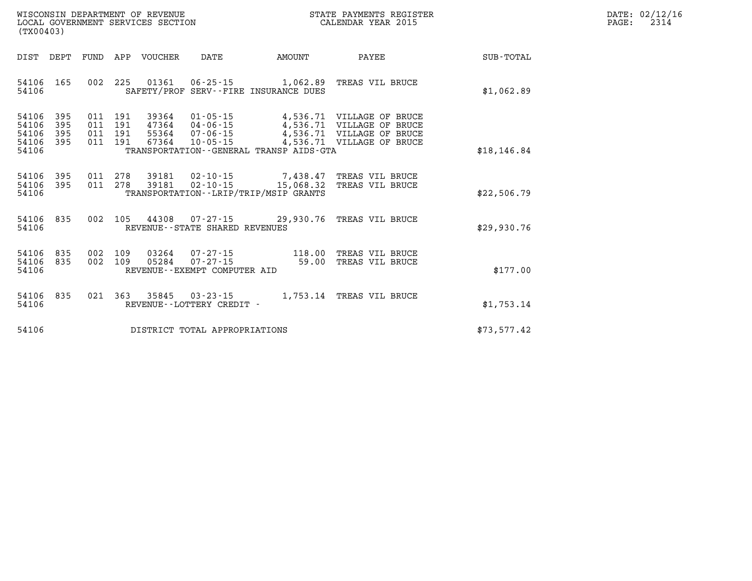| DATE:             | 02/12/16 |
|-------------------|----------|
| $\mathtt{PAGE}$ : | 2314     |

| (TX00403)                                                             |                          | WISCONSIN DEPARTMENT OF REVENUE<br>LOCAL GOVERNMENT SERVICES SECTION |                                                                  |                                                                   | STATE PAYMENTS REGISTER<br>CALENDAR YEAR 2015                                                           |              |
|-----------------------------------------------------------------------|--------------------------|----------------------------------------------------------------------|------------------------------------------------------------------|-------------------------------------------------------------------|---------------------------------------------------------------------------------------------------------|--------------|
| DIST<br>DEPT                                                          | FUND                     | APP<br>VOUCHER                                                       | DATE                                                             | AMOUNT                                                            | PAYEE                                                                                                   | SUB-TOTAL    |
| 165<br>54106<br>54106                                                 | 002                      | 225<br>01361                                                         | $06 - 25 - 15$                                                   | 1,062.89<br>SAFETY/PROF SERV--FIRE INSURANCE DUES                 | TREAS VIL BRUCE                                                                                         | \$1,062.89   |
| 395<br>54106<br>54106<br>395<br>54106<br>395<br>395<br>54106<br>54106 | 011<br>011<br>011<br>011 | 191<br>39364<br>191<br>47364<br>191<br>55364<br>191<br>67364         | $01 - 05 - 15$<br>04-06-15<br>$07 - 06 - 15$<br>$10 - 05 - 15$   | 4,536.71<br>TRANSPORTATION--GENERAL TRANSP AIDS-GTA               | 4,536.71 VILLAGE OF BRUCE<br>VILLAGE OF BRUCE<br>4,536.71 VILLAGE OF BRUCE<br>4,536.71 VILLAGE OF BRUCE | \$18, 146.84 |
| 54106<br>395<br>395<br>54106<br>54106                                 | 011<br>011               | 278<br>39181<br>278<br>39181                                         | $02 - 10 - 15$<br>$02 - 10 - 15$                                 | 7,438.47<br>15,068.32<br>TRANSPORTATION - - LRIP/TRIP/MSIP GRANTS | TREAS VIL BRUCE<br>TREAS VIL BRUCE                                                                      | \$22,506.79  |
| 54106<br>835<br>54106                                                 | 002                      | 105<br>44308                                                         | $07 - 27 - 15$<br>REVENUE - - STATE SHARED REVENUES              | 29,930.76                                                         | TREAS VIL BRUCE                                                                                         | \$29,930.76  |
| 835<br>54106<br>54106<br>835<br>54106                                 | 002<br>002               | 109<br>03264<br>109<br>05284                                         | $07 - 27 - 15$<br>$07 - 27 - 15$<br>REVENUE--EXEMPT COMPUTER AID | 118.00<br>59.00                                                   | TREAS VIL BRUCE<br>TREAS VIL BRUCE                                                                      | \$177.00     |
| 835<br>54106<br>54106                                                 | 021                      | 363<br>35845                                                         | $03 - 23 - 15$<br>REVENUE--LOTTERY CREDIT -                      | 1,753.14                                                          | TREAS VIL BRUCE                                                                                         | \$1,753.14   |
| 54106                                                                 |                          |                                                                      | DISTRICT TOTAL APPROPRIATIONS                                    |                                                                   |                                                                                                         | \$73,577.42  |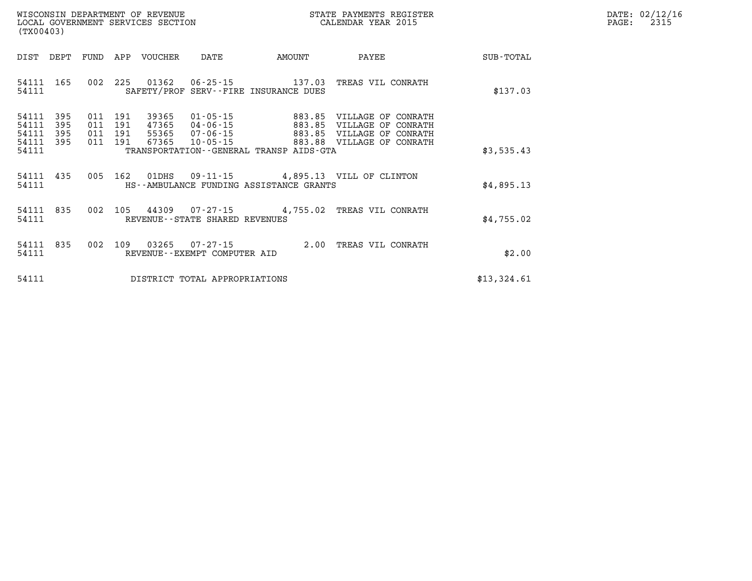| WISCONSIN DEPARTMENT OF REVENUE      | PAYMENTS REGISTER<br>3TATE | DATE: | 02/12/16 |
|--------------------------------------|----------------------------|-------|----------|
| GOVERNMENT SERVICES SECTION<br>LOCAL | CALENDAR YEAR 2015         | PAGE  | 2315     |

| (TX00403)                        | LOCAL GOVERNMENT SERVICES SECTION<br>CALENDAR YEAR 2015 |  |                                          |                                  |                                              | PAGE:                                                                                      | 2315                                                                         |             |  |  |
|----------------------------------|---------------------------------------------------------|--|------------------------------------------|----------------------------------|----------------------------------------------|--------------------------------------------------------------------------------------------|------------------------------------------------------------------------------|-------------|--|--|
| DIST                             | DEPT                                                    |  |                                          | FUND APP VOUCHER                 | DATE                                         | AMOUNT                                                                                     | <b>PAYEE</b>                                                                 | SUB - TOTAL |  |  |
| 54111 165<br>54111               |                                                         |  |                                          |                                  |                                              | 002 225 01362 06-25-15 137.03 TREAS VIL CONRATH<br>SAFETY/PROF SERV--FIRE INSURANCE DUES   |                                                                              | \$137.03    |  |  |
| 54111<br>54111<br>54111<br>54111 | 395<br>395<br>395<br>395                                |  | 011 191<br>011 191<br>011 191<br>011 191 | 39365<br>47365<br>55365<br>67365 | 04-06-15<br>$07 - 06 - 15$<br>$10 - 05 - 15$ | 01-05-15 883.85 VILLAGE OF CONRATH<br>883.85                                               | VILLAGE OF CONRATH<br>883.85 VILLAGE OF CONRATH<br>883.88 VILLAGE OF CONRATH |             |  |  |
| 54111                            |                                                         |  |                                          |                                  |                                              | TRANSPORTATION--GENERAL TRANSP AIDS-GTA                                                    |                                                                              | \$3,535.43  |  |  |
| 54111<br>54111                   | 435                                                     |  |                                          |                                  |                                              | 005 162 01DHS 09-11-15 4,895.13 VILL OF CLINTON<br>HS--AMBULANCE FUNDING ASSISTANCE GRANTS |                                                                              | \$4,895.13  |  |  |
| 54111<br>54111                   | 835                                                     |  |                                          |                                  | REVENUE--STATE SHARED REVENUES               | 002 105 44309 07-27-15 4,755.02 TREAS VIL CONRATH                                          |                                                                              | \$4,755.02  |  |  |
| 54111<br>54111                   | 835                                                     |  |                                          |                                  | REVENUE--EXEMPT COMPUTER AID                 | 002 109 03265 07-27-15 2.00 TREAS VIL CONRATH                                              |                                                                              | \$2.00      |  |  |
| 54111                            |                                                         |  |                                          |                                  | DISTRICT TOTAL APPROPRIATIONS                |                                                                                            |                                                                              | \$13,324.61 |  |  |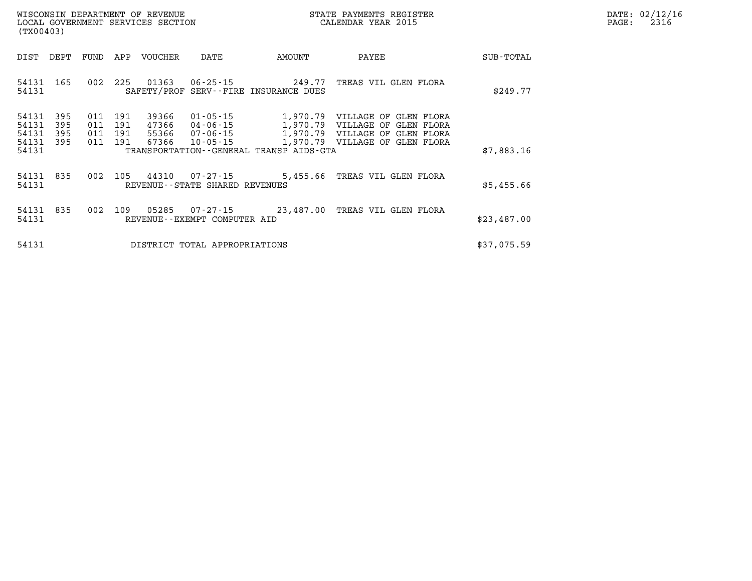| WISCONSIN DEPARTMENT OF REVENUE      | PAYMENTS REGISTER<br>3TATE | DATE: | 02/12/16 |
|--------------------------------------|----------------------------|-------|----------|
| GOVERNMENT SERVICES SECTION<br>LOCAL | CALENDAR YEAR 2015         | PAGE  | 2316     |

| (TX00403)                                 |                          |                          |                          |                                  | LOCAL GOVERNMENT SERVICES SECTION<br>CALENDAR YEAR 2015 |                                         |                                                                                                                                                        |             | PAGE: | 2316 |
|-------------------------------------------|--------------------------|--------------------------|--------------------------|----------------------------------|---------------------------------------------------------|-----------------------------------------|--------------------------------------------------------------------------------------------------------------------------------------------------------|-------------|-------|------|
| DIST                                      | DEPT                     | FUND                     | APP                      | VOUCHER                          | DATE                                                    | AMOUNT                                  | PAYEE                                                                                                                                                  | SUB-TOTAL   |       |      |
| 54131<br>54131                            | 165                      | 002                      | 225                      | 01363                            |                                                         | SAFETY/PROF SERV--FIRE INSURANCE DUES   | 06-25-15 249.77 TREAS VIL GLEN FLORA                                                                                                                   | \$249.77    |       |      |
| 54131<br>54131<br>54131<br>54131<br>54131 | 395<br>395<br>395<br>395 | 011<br>011<br>011<br>011 | 191<br>191<br>191<br>191 | 39366<br>47366<br>55366<br>67366 | 07-06-15<br>$10 - 05 - 15$                              | TRANSPORTATION--GENERAL TRANSP AIDS-GTA | 01-05-15 1,970.79 VILLAGE OF GLEN FLORA<br>04-06-15 1,970.79 VILLAGE OF GLEN FLORA<br>1,970.79 VILLAGE OF GLEN FLORA<br>1,970.79 VILLAGE OF GLEN FLORA | \$7,883.16  |       |      |
| 54131<br>54131                            | 835                      | 002                      | 105                      | 44310                            | REVENUE--STATE SHARED REVENUES                          |                                         | 07-27-15 5,455.66 TREAS VIL GLEN FLORA                                                                                                                 | \$5,455.66  |       |      |
| 54131<br>54131                            | 835                      | 002                      | 109                      | 05285                            | REVENUE--EXEMPT COMPUTER AID                            |                                         | 07-27-15 23,487.00 TREAS VIL GLEN FLORA                                                                                                                | \$23,487.00 |       |      |
| 54131                                     |                          |                          |                          |                                  | DISTRICT TOTAL APPROPRIATIONS                           |                                         |                                                                                                                                                        | \$37,075.59 |       |      |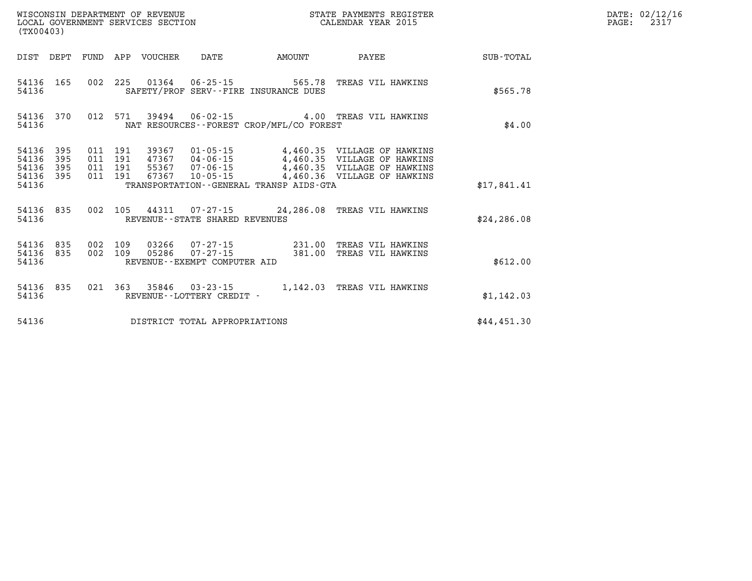|                                           | WISCONSIN DEPARTMENT OF REVENUE<br>LOCAL GOVERNMENT SERVICES SECTION<br>(TX00403) |                          |                          |       |                                   | STATE PAYMENTS REGISTER<br>CALENDAR YEAR 2015 |                                                                                       |              |  |
|-------------------------------------------|-----------------------------------------------------------------------------------|--------------------------|--------------------------|-------|-----------------------------------|-----------------------------------------------|---------------------------------------------------------------------------------------|--------------|--|
| DIST                                      | DEPT                                                                              | FUND                     | APP                      |       |                                   | VOUCHER DATE AMOUNT                           | PAYEE                                                                                 | SUB-TOTAL    |  |
| 54136<br>54136                            | 165                                                                               | 002                      |                          |       | 225 01364 06-25-15                | SAFETY/PROF SERV--FIRE INSURANCE DUES         | 565.78 TREAS VIL HAWKINS                                                              | \$565.78     |  |
| 54136<br>54136                            |                                                                                   | 370 012                  | 571                      |       |                                   | NAT RESOURCES - - FOREST CROP/MFL/CO FOREST   | 39494  06-02-15  4.00 TREAS VIL HAWKINS                                               | \$4.00       |  |
| 54136<br>54136<br>54136<br>54136<br>54136 | 395<br>395<br>395<br>395                                                          | 011<br>011<br>011<br>011 | 191<br>191<br>191<br>191 | 67367 |                                   | TRANSPORTATION--GENERAL TRANSP AIDS-GTA       | 39367  01-05-15  4,460.35  VILLAGE OF HAWKINS<br>10-05-15 4,460.36 VILLAGE OF HAWKINS | \$17,841.41  |  |
| 54136<br>54136                            | 835                                                                               | 002                      |                          |       | REVENUE - - STATE SHARED REVENUES |                                               | 105 44311 07-27-15 24,286.08 TREAS VIL HAWKINS                                        | \$24, 286.08 |  |
| 54136<br>54136<br>54136                   | 835<br>835                                                                        | 002<br>002               | 109<br>109               | 05286 | REVENUE--EXEMPT COMPUTER AID      | $07 - 27 - 15$ 381.00                         | 03266  07-27-15  231.00  TREAS VIL HAWKINS<br>TREAS VIL HAWKINS                       | \$612.00     |  |
| 54136<br>54136                            | 835                                                                               | 021                      |                          |       | REVENUE - - LOTTERY CREDIT -      |                                               | 363 35846 03-23-15 1,142.03 TREAS VIL HAWKINS                                         | \$1,142.03   |  |
| 54136                                     |                                                                                   |                          |                          |       | DISTRICT TOTAL APPROPRIATIONS     |                                               |                                                                                       | \$44,451.30  |  |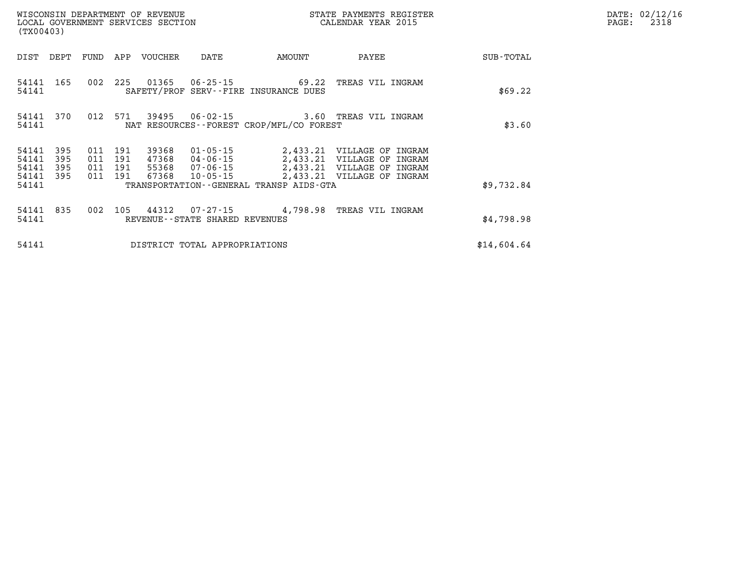| WISCONSIN DEPARTMENT OF REVENUE<br>LOCAL GOVERNMENT SERVICES SECTION<br>(TX00403) |                          |                                  |            |                |                                   |                                          | STATE PAYMENTS REGISTER<br>CALENDAR YEAR 2015                                                                                                      |             | DATE: 02/12/16<br>2318<br>$\mathtt{PAGE:}$ |
|-----------------------------------------------------------------------------------|--------------------------|----------------------------------|------------|----------------|-----------------------------------|------------------------------------------|----------------------------------------------------------------------------------------------------------------------------------------------------|-------------|--------------------------------------------|
| DIST                                                                              | DEPT                     | FUND                             | APP        | VOUCHER        | DATE                              | AMOUNT                                   | PAYEE                                                                                                                                              | SUB-TOTAL   |                                            |
| 54141 165<br>54141                                                                |                          | 002                              | 225        | 01365          |                                   | SAFETY/PROF SERV--FIRE INSURANCE DUES    | 06-25-15 69.22 TREAS VIL INGRAM                                                                                                                    | \$69.22     |                                            |
| 54141                                                                             | 54141 370                |                                  | 012 571    |                |                                   | NAT RESOURCES--FOREST CROP/MFL/CO FOREST | 3.60 TREAS VIL INGRAM                                                                                                                              | \$3.60      |                                            |
| 54141<br>54141<br>54141<br>54141                                                  | 395<br>395<br>395<br>395 | 011<br>011 191<br>011 191<br>011 | 191<br>191 | 39368<br>67368 | 01-05-15<br>10-05-15              |                                          | 2,433.21 VILLAGE OF INGRAM<br>47368 04-06-15 2,433.21 VILLAGE OF INGRAM<br>55368 07-06-15 2,433.21 VILLAGE OF INGRAM<br>2,433.21 VILLAGE OF INGRAM |             |                                            |
| 54141                                                                             |                          |                                  |            |                |                                   | TRANSPORTATION--GENERAL TRANSP AIDS-GTA  |                                                                                                                                                    | \$9,732.84  |                                            |
| 54141 835<br>54141                                                                |                          | 002                              | 105        | 44312          | REVENUE - - STATE SHARED REVENUES |                                          | 07-27-15 4,798.98 TREAS VIL INGRAM                                                                                                                 | \$4,798.98  |                                            |
| 54141                                                                             |                          |                                  |            |                | DISTRICT TOTAL APPROPRIATIONS     |                                          |                                                                                                                                                    | \$14,604.64 |                                            |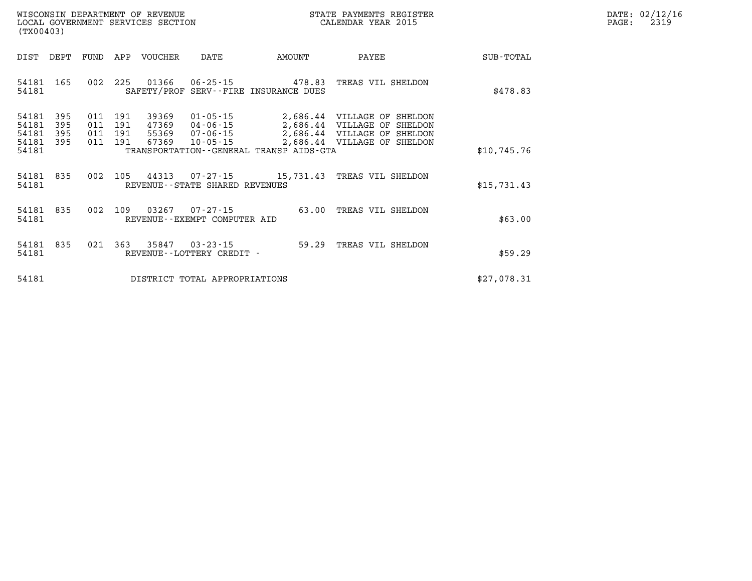| WISCONSIN DEPARTMENT OF REVENUE      | PAYMENTS REGISTER<br>3TATE | DATE: | 02/12/16 |
|--------------------------------------|----------------------------|-------|----------|
| GOVERNMENT SERVICES SECTION<br>LOCAL | CALENDAR YEAR 2015         | PAGE  | 2319     |

| (TX00403)                                                             | LOCAL GOVERNMENT SERVICES SECTION        |         |                                  |                                                          |                                         | CALENDAR YEAR 2015                                                                                                       |             | PAGE: | 2319 |
|-----------------------------------------------------------------------|------------------------------------------|---------|----------------------------------|----------------------------------------------------------|-----------------------------------------|--------------------------------------------------------------------------------------------------------------------------|-------------|-------|------|
| DIST<br>DEPT                                                          | FUND                                     |         | APP VOUCHER                      | DATE                                                     | AMOUNT                                  | PAYEE                                                                                                                    | SUB-TOTAL   |       |      |
| 54181 165<br>54181                                                    |                                          |         | 002 225 01366                    |                                                          | SAFETY/PROF SERV--FIRE INSURANCE DUES   | 06-25-15  478.83 TREAS VIL SHELDON                                                                                       | \$478.83    |       |      |
| 395<br>54181<br>395<br>54181<br>54181<br>395<br>54181<br>395<br>54181 | 011 191<br>011 191<br>011 191<br>011 191 |         | 39369<br>47369<br>55369<br>67369 | $01 - 05 - 15$<br>04-06-15<br>07-06-15<br>$10 - 05 - 15$ | TRANSPORTATION--GENERAL TRANSP AIDS-GTA | 2,686.44 VILLAGE OF SHELDON<br>2,686.44 VILLAGE OF SHELDON<br>2,686.44 VILLAGE OF SHELDON<br>2,686.44 VILLAGE OF SHELDON | \$10,745.76 |       |      |
| 54181 835<br>54181                                                    |                                          | 002 105 |                                  | 44313 07-27-15<br>REVENUE--STATE SHARED REVENUES         |                                         | 15,731.43 TREAS VIL SHELDON                                                                                              | \$15,731.43 |       |      |
| 54181 835<br>54181                                                    | 002                                      | 109     | 03267                            | 07-27-15<br>REVENUE--EXEMPT COMPUTER AID                 |                                         | 63.00 TREAS VIL SHELDON                                                                                                  | \$63.00     |       |      |
| 835<br>54181<br>54181                                                 | 021                                      | 363     | 35847                            | 03-23-15<br>REVENUE - - LOTTERY CREDIT -                 |                                         | 59.29 TREAS VIL SHELDON                                                                                                  | \$59.29     |       |      |
| 54181                                                                 |                                          |         |                                  | DISTRICT TOTAL APPROPRIATIONS                            |                                         |                                                                                                                          | \$27,078.31 |       |      |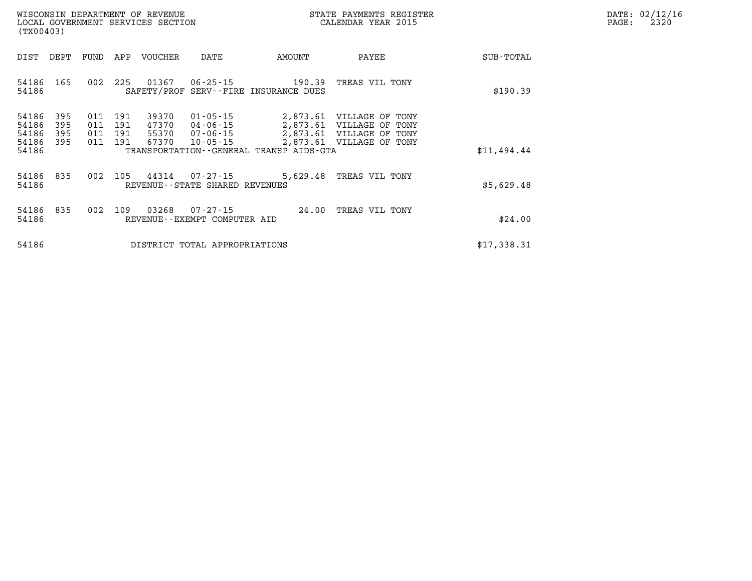| DATE: | 02/12/16 |
|-------|----------|
| PAGE: | 2320     |

| WISCONSIN DEPARTMENT OF REVENUE<br>LOCAL GOVERNMENT SERVICES SECTION<br>(TX00403)                                             |                                                                                                                                                                                                                       | STATE PAYMENTS REGISTER<br>CALENDAR YEAR 2015 | DATE: 02/12/1<br>PAGE:<br>2320 |
|-------------------------------------------------------------------------------------------------------------------------------|-----------------------------------------------------------------------------------------------------------------------------------------------------------------------------------------------------------------------|-----------------------------------------------|--------------------------------|
| DEPT<br>APP<br>DIST<br>FUND                                                                                                   | VOUCHER<br>AMOUNT<br>DATE                                                                                                                                                                                             | PAYEE<br>SUB-TOTAL                            |                                |
| 225<br>01367<br>002<br>54186<br>165<br>54186                                                                                  | 06-25-15<br>190.39<br>SAFETY/PROF SERV--FIRE INSURANCE DUES                                                                                                                                                           | TREAS VIL TONY<br>\$190.39                    |                                |
| 54186<br>395<br>191<br>011<br>54186<br>395<br>011<br>191<br>54186<br>395<br>011<br>191<br>54186<br>395<br>191<br>011<br>54186 | 39370<br>01-05-15<br>2,873.61 VILLAGE OF TONY<br>2,873.61 VILLAGE OF TONY<br>47370<br>04-06-15<br>2,873.61 VILLAGE OF TONY<br>55370<br>07-06-15<br>67370<br>$10 - 05 - 15$<br>TRANSPORTATION--GENERAL TRANSP AIDS-GTA | 2,873.61 VILLAGE OF TONY<br>\$11,494.44       |                                |
| 105<br>54186<br>835<br>002<br>54186                                                                                           | 44314<br>07-27-15<br>REVENUE--STATE SHARED REVENUES                                                                                                                                                                   | 5,629.48 TREAS VIL TONY<br>\$5,629.48         |                                |
| 835<br>002<br>109<br>54186<br>54186                                                                                           | 03268<br>07-27-15<br>24.00<br>REVENUE--EXEMPT COMPUTER AID                                                                                                                                                            | TREAS VIL TONY<br>\$24.00                     |                                |
| 54186                                                                                                                         | DISTRICT TOTAL APPROPRIATIONS                                                                                                                                                                                         | \$17,338.31                                   |                                |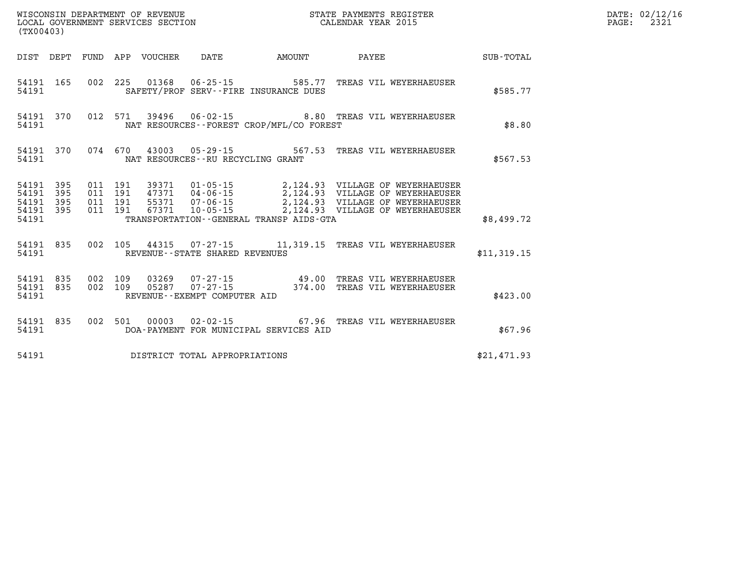| (TX00403)                                             |     |  |  |  |                                       |                                          |                                                                                                                                                                                                                                         |             | DATE: 02/12/16<br>PAGE: 2321 |
|-------------------------------------------------------|-----|--|--|--|---------------------------------------|------------------------------------------|-----------------------------------------------------------------------------------------------------------------------------------------------------------------------------------------------------------------------------------------|-------------|------------------------------|
|                                                       |     |  |  |  |                                       |                                          |                                                                                                                                                                                                                                         |             |                              |
| 54191                                                 |     |  |  |  |                                       | SAFETY/PROF SERV--FIRE INSURANCE DUES    | 54191 165 002 225 01368 06-25-15 585.77 TREAS VIL WEYERHAEUSER                                                                                                                                                                          | \$585.77    |                              |
| 54191                                                 |     |  |  |  |                                       | NAT RESOURCES--FOREST CROP/MFL/CO FOREST | 54191 370 012 571 39496 06-02-15 8.80 TREAS VIL WEYERHAEUSER                                                                                                                                                                            | \$8.80      |                              |
| 54191 370<br>54191                                    |     |  |  |  | NAT RESOURCES--RU RECYCLING GRANT     |                                          | 074 670 43003 05-29-15 567.53 TREAS VIL WEYERHAEUSER                                                                                                                                                                                    | \$567.53    |                              |
| 54191 395<br>54191<br>54191 395<br>54191 395<br>54191 | 395 |  |  |  |                                       | TRANSPORTATION--GENERAL TRANSP AIDS-GTA  | 011 191 39371 01-05-15 2,124.93 VILLAGE OF WEYERHAEUSER<br>011 191 47371 04-06-15 2,124.93 VILLAGE OF WEYERHAEUSER<br>011 191 67371 10-05-15 2,124.93 VILLAGE OF WEYERHAEUSER<br>011 191 67371 10-05-15 2,124.93 VILLAGE OF WEYERHAEUSE | \$8,499.72  |                              |
|                                                       |     |  |  |  | 54191 REVENUE - STATE SHARED REVENUES |                                          | 54191 835 002 105 44315 07-27-15 11,319.15 TREAS VIL WEYERHAEUSER                                                                                                                                                                       | \$11,319.15 |                              |
| 54191 835<br>54191 835<br>54191                       |     |  |  |  | REVENUE--EXEMPT COMPUTER AID          |                                          | 002 109 03269 07-27-15 49.00 TREAS VIL WEYERHAEUSER<br>002 109 05287 07-27-15 - 374.00 TREAS VIL WEYERHAEUSER                                                                                                                           | \$423.00    |                              |
| 54191 835<br>54191                                    |     |  |  |  |                                       | DOA-PAYMENT FOR MUNICIPAL SERVICES AID   | 002 501 00003 02-02-15 67.96 TREAS VIL WEYERHAEUSER                                                                                                                                                                                     | \$67.96     |                              |
|                                                       |     |  |  |  | 54191 DISTRICT TOTAL APPROPRIATIONS   |                                          |                                                                                                                                                                                                                                         | \$21,471.93 |                              |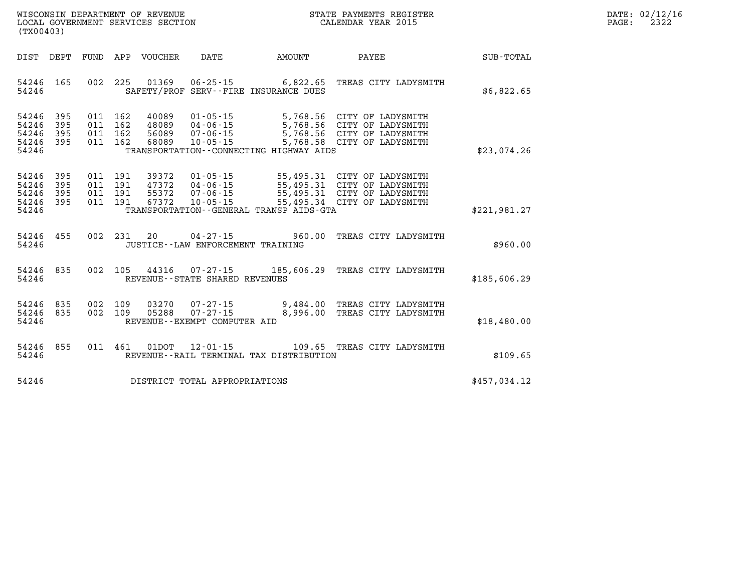| $\mathtt{DATE}$ : | 02/12/16 |
|-------------------|----------|
| $\mathtt{PAGE}$ : | 2322     |

| DIST<br>DEPT                                                          | FUND<br>APP                                          | VOUCHER                                           | DATE                                                                 | AMOUNT                                                             | PAYEE                                                                                                          | <b>SUB-TOTAL</b> |
|-----------------------------------------------------------------------|------------------------------------------------------|---------------------------------------------------|----------------------------------------------------------------------|--------------------------------------------------------------------|----------------------------------------------------------------------------------------------------------------|------------------|
| 54246<br>165<br>54246                                                 | 002<br>225                                           | 01369                                             | $06 - 25 - 15$                                                       | 6,822.65<br>SAFETY/PROF SERV--FIRE INSURANCE DUES                  | TREAS CITY LADYSMITH                                                                                           | \$6,822.65       |
| 395<br>54246<br>54246<br>395<br>54246<br>395<br>54246<br>395<br>54246 | 162<br>011<br>011<br>162<br>011<br>162<br>162<br>011 | 40089<br>48089<br>56089<br>68089                  | $01 - 05 - 15$<br>$04 - 06 - 15$<br>$07 - 06 - 15$<br>$10 - 05 - 15$ | 5,768.56<br>5,768.58<br>TRANSPORTATION - - CONNECTING HIGHWAY AIDS | CITY OF LADYSMITH<br>5,768.56 CITY OF LADYSMITH<br>5,768.56 CITY OF LADYSMITH<br>CITY OF LADYSMITH             | \$23,074.26      |
| 54246<br>395<br>395<br>54246<br>54246<br>395<br>54246<br>395<br>54246 | 011<br>191<br>191<br>011<br>191<br>011<br>191<br>011 | 39372<br>47372<br>55372<br>67372                  | $01 - 05 - 15$<br>$04 - 06 - 15$<br>$07 - 06 - 15$<br>$10 - 05 - 15$ | 55,495.31<br>TRANSPORTATION--GENERAL TRANSP AIDS-GTA               | 55,495.31 CITY OF LADYSMITH<br>CITY OF LADYSMITH<br>55,495.31 CITY OF LADYSMITH<br>55,495.34 CITY OF LADYSMITH | \$221,981.27     |
| 54246<br>455<br>54246                                                 | 002<br>231                                           | 20<br>JUSTICE - - LAW ENFORCEMENT TRAINING        | $04 - 27 - 15$                                                       | 960.00                                                             | TREAS CITY LADYSMITH                                                                                           | \$960.00         |
| 54246<br>835<br>54246                                                 | 002<br>105                                           | 44316<br>REVENUE - - STATE SHARED REVENUES        | $07 - 27 - 15$                                                       |                                                                    | 185,606.29 TREAS CITY LADYSMITH                                                                                | \$185,606.29     |
| 54246<br>835<br>54246<br>835<br>54246                                 | 002<br>109<br>109<br>002                             | 03270<br>05288<br>REVENUE - - EXEMPT COMPUTER AID | $07 - 27 - 15$<br>$07 - 27 - 15$                                     | 8,996.00                                                           | 9,484.00 TREAS CITY LADYSMITH<br>TREAS CITY LADYSMITH                                                          | \$18,480.00      |
| 855<br>54246<br>54246                                                 | 011<br>461                                           | 01DOT                                             | $12 - 01 - 15$                                                       | 109.65<br>REVENUE--RAIL TERMINAL TAX DISTRIBUTION                  | TREAS CITY LADYSMITH                                                                                           | \$109.65         |
| 54246                                                                 |                                                      | DISTRICT TOTAL APPROPRIATIONS                     |                                                                      |                                                                    |                                                                                                                | \$457,034.12     |

LOCAL GOVERNMENT SERVICES SECTION

**(TX00403)**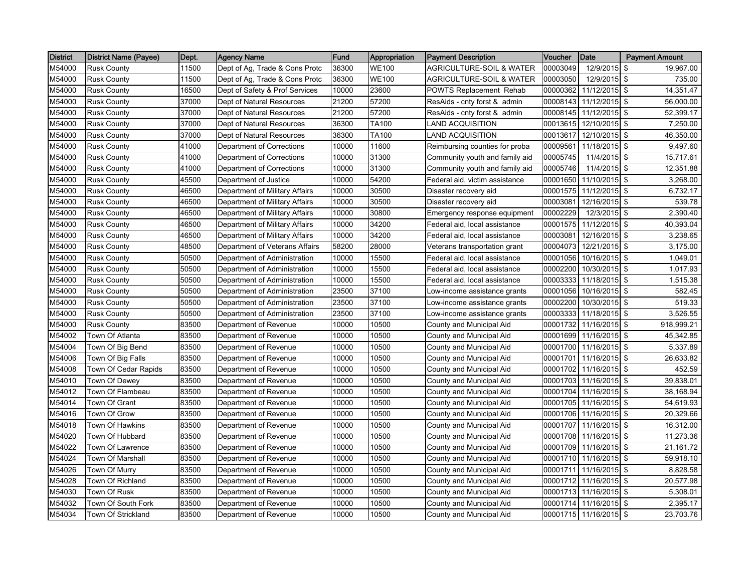| <b>District</b> | District Name (Payee) | Dept. | <b>Agency Name</b>             | <b>Fund</b> | Appropriation | <b>Payment Description</b>          | Voucher  | <b>Date</b>            | <b>Payment Amount</b> |
|-----------------|-----------------------|-------|--------------------------------|-------------|---------------|-------------------------------------|----------|------------------------|-----------------------|
| M54000          | <b>Rusk County</b>    | 11500 | Dept of Ag, Trade & Cons Protc | 36300       | <b>WE100</b>  | <b>AGRICULTURE-SOIL &amp; WATER</b> | 00003049 | 12/9/2015              | -\$<br>19,967.00      |
| M54000          | <b>Rusk County</b>    | 11500 | Dept of Ag, Trade & Cons Protc | 36300       | <b>WE100</b>  | <b>AGRICULTURE-SOIL &amp; WATER</b> | 00003050 | 12/9/2015 \$           | 735.00                |
| M54000          | <b>Rusk County</b>    | 16500 | Dept of Safety & Prof Services | 10000       | 23600         | <b>POWTS Replacement Rehab</b>      | 00000362 | 11/12/2015 \$          | 14,351.47             |
| M54000          | <b>Rusk County</b>    | 37000 | Dept of Natural Resources      | 21200       | 57200         | ResAids - cnty forst & admin        | 00008143 | 11/12/2015 \$          | 56,000.00             |
| M54000          | <b>Rusk County</b>    | 37000 | Dept of Natural Resources      | 21200       | 57200         | ResAids - cnty forst & admin        | 00008145 | $11/12/2015$ \$        | 52,399.17             |
| M54000          | <b>Rusk County</b>    | 37000 | Dept of Natural Resources      | 36300       | TA100         | <b>LAND ACQUISITION</b>             | 00013615 | $12/10/2015$ \$        | 7.250.00              |
| M54000          | <b>Rusk County</b>    | 37000 | Dept of Natural Resources      | 36300       | TA100         | LAND ACQUISITION                    | 00013617 | 12/10/2015 \$          | 46,350.00             |
| M54000          | <b>Rusk County</b>    | 41000 | Department of Corrections      | 10000       | 11600         | Reimbursing counties for proba      | 0000956  | 11/18/2015 \$          | 9,497.60              |
| M54000          | <b>Rusk County</b>    | 41000 | Department of Corrections      | 10000       | 31300         | Community youth and family aid      | 00005745 | 11/4/2015 \$           | 15,717.61             |
| M54000          | <b>Rusk County</b>    | 41000 | Department of Corrections      | 10000       | 31300         | Community youth and family aid      | 00005746 | 11/4/2015 \$           | 12,351.88             |
| M54000          | <b>Rusk County</b>    | 45500 | Department of Justice          | 10000       | 54200         | Federal aid, victim assistance      | 00001650 | $11/10/2015$ \$        | 3,268.00              |
| M54000          | <b>Rusk County</b>    | 46500 | Department of Military Affairs | 10000       | 30500         | Disaster recovery aid               | 00001575 | 11/12/2015 \$          | 6,732.17              |
| M54000          | <b>Rusk County</b>    | 46500 | Department of Military Affairs | 10000       | 30500         | Disaster recovery aid               | 00003081 | 12/16/2015 \$          | 539.78                |
| M54000          | <b>Rusk County</b>    | 46500 | Department of Military Affairs | 10000       | 30800         | Emergency response equipment        | 00002229 | 12/3/2015 \$           | 2,390.40              |
| M54000          | <b>Rusk County</b>    | 46500 | Department of Military Affairs | 10000       | 34200         | Federal aid, local assistance       | 00001575 | 11/12/2015 \$          | 40,393.04             |
| M54000          | <b>Rusk County</b>    | 46500 | Department of Military Affairs | 10000       | 34200         | Federal aid, local assistance       | 0000308  | 12/16/2015 \$          | 3,238.65              |
| M54000          | <b>Rusk County</b>    | 48500 | Department of Veterans Affairs | 58200       | 28000         | Veterans transportation grant       | 00004073 | $12/21/2015$ \$        | 3,175.00              |
| M54000          | <b>Rusk County</b>    | 50500 | Department of Administration   | 10000       | 15500         | Federal aid, local assistance       | 00001056 | 10/16/2015 \$          | 1,049.01              |
| M54000          | <b>Rusk County</b>    | 50500 | Department of Administration   | 10000       | 15500         | Federal aid, local assistance       | 00002200 | 10/30/2015 \$          | 1,017.93              |
| M54000          | <b>Rusk County</b>    | 50500 | Department of Administration   | 10000       | 15500         | Federal aid, local assistance       | 00003333 | $11/18/2015$ \$        | 1,515.38              |
| M54000          | <b>Rusk County</b>    | 50500 | Department of Administration   | 23500       | 37100         | Low-income assistance grants        | 00001056 | 10/16/2015 \$          | 582.45                |
| M54000          | <b>Rusk County</b>    | 50500 | Department of Administration   | 23500       | 37100         | Low-income assistance grants        | 00002200 | 10/30/2015 \$          | 519.33                |
| M54000          | <b>Rusk County</b>    | 50500 | Department of Administration   | 23500       | 37100         | Low-income assistance grants        | 00003333 | 11/18/2015 \$          | 3,526.55              |
| M54000          | <b>Rusk County</b>    | 83500 | Department of Revenue          | 10000       | 10500         | County and Municipal Aid            | 00001732 | 11/16/2015 \$          | 918,999.21            |
| M54002          | Town Of Atlanta       | 83500 | Department of Revenue          | 10000       | 10500         | County and Municipal Aid            | 00001699 | 11/16/2015 \$          | 45,342.85             |
| M54004          | Town Of Big Bend      | 83500 | Department of Revenue          | 10000       | 10500         | County and Municipal Aid            | 00001700 | 11/16/2015 \$          | 5,337.89              |
| M54006          | Town Of Big Falls     | 83500 | Department of Revenue          | 10000       | 10500         | County and Municipal Aid            | 00001701 | 11/16/2015 \$          | 26,633.82             |
| M54008          | Town Of Cedar Rapids  | 83500 | Department of Revenue          | 10000       | 10500         | County and Municipal Aid            | 00001702 | 11/16/2015 \$          | 452.59                |
| M54010          | Town Of Dewey         | 83500 | Department of Revenue          | 10000       | 10500         | County and Municipal Aid            | 00001703 | $11/16/2015$ \$        | 39,838.01             |
| M54012          | Town Of Flambeau      | 83500 | Department of Revenue          | 10000       | 10500         | County and Municipal Aid            | 00001704 | $11/16/2015$ \$        | 38,168.94             |
| M54014          | Town Of Grant         | 83500 | Department of Revenue          | 10000       | 10500         | County and Municipal Aid            | 00001705 | 11/16/2015 \$          | 54,619.93             |
| M54016          | Town Of Grow          | 83500 | Department of Revenue          | 10000       | 10500         | County and Municipal Aid            | 00001706 | 11/16/2015 \$          | 20,329.66             |
| M54018          | Town Of Hawkins       | 83500 | Department of Revenue          | 10000       | 10500         | County and Municipal Aid            | 00001707 | 11/16/2015 \$          | 16,312.00             |
| M54020          | Town Of Hubbard       | 83500 | Department of Revenue          | 10000       | 10500         | County and Municipal Aid            | 00001708 | 11/16/2015 \$          | 11,273.36             |
| M54022          | Town Of Lawrence      | 83500 | Department of Revenue          | 10000       | 10500         | County and Municipal Aid            | 00001709 | 11/16/2015 \$          | 21,161.72             |
| M54024          | Town Of Marshall      | 83500 | Department of Revenue          | 10000       | 10500         | County and Municipal Aid            | 00001710 | 11/16/2015 \$          | 59,918.10             |
| M54026          | Town Of Murry         | 83500 | Department of Revenue          | 10000       | 10500         | County and Municipal Aid            | 00001711 | 11/16/2015 \$          | 8,828.58              |
| M54028          | Town Of Richland      | 83500 | Department of Revenue          | 10000       | 10500         | County and Municipal Aid            | 00001712 | 11/16/2015 \$          | 20,577.98             |
| M54030          | Town Of Rusk          | 83500 | Department of Revenue          | 10000       | 10500         | County and Municipal Aid            | 00001713 | 11/16/2015 \$          | 5,308.01              |
| M54032          | Town Of South Fork    | 83500 | Department of Revenue          | 10000       | 10500         | County and Municipal Aid            | 00001714 | 11/16/2015 \$          | 2,395.17              |
| M54034          | Town Of Strickland    | 83500 | Department of Revenue          | 10000       | 10500         | County and Municipal Aid            |          | 00001715 11/16/2015 \$ | 23,703.76             |